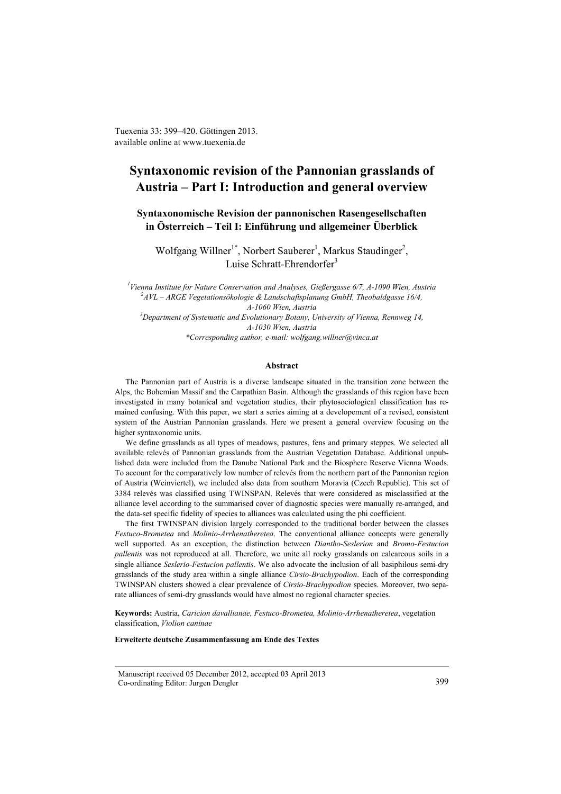Tuexenia 33: 399–420. Göttingen 2013. available online at www.tuexenia.de

# **Syntaxonomic revision of the Pannonian grasslands of Austria – Part I: Introduction and general overview**

**Syntaxonomische Revision der pannonischen Rasengesellschaften in Österreich – Teil I: Einführung und allgemeiner Überblick**

Wolfgang Willner<sup>1\*</sup>, Norbert Sauberer<sup>1</sup>, Markus Staudinger<sup>2</sup>, Luise Schratt-Ehrendorfer<sup>3</sup>

*1 Vienna Institute for Nature Conservation and Analyses, Gießergasse 6/7, A-1090 Wien, Austria 2 AVL – ARGE Vegetationsökologie & Landschaftsplanung GmbH, Theobaldgasse 16/4, A-1060 Wien, Austria 3 Department of Systematic and Evolutionary Botany, University of Vienna, Rennweg 14, A-1030 Wien, Austria \*Corresponding author, e-mail: wolfgang.willner@vinca.at* 

## **Abstract**

The Pannonian part of Austria is a diverse landscape situated in the transition zone between the Alps, the Bohemian Massif and the Carpathian Basin. Although the grasslands of this region have been investigated in many botanical and vegetation studies, their phytosociological classification has remained confusing. With this paper, we start a series aiming at a developement of a revised, consistent system of the Austrian Pannonian grasslands. Here we present a general overview focusing on the higher syntaxonomic units.

We define grasslands as all types of meadows, pastures, fens and primary steppes. We selected all available relevés of Pannonian grasslands from the Austrian Vegetation Database. Additional unpublished data were included from the Danube National Park and the Biosphere Reserve Vienna Woods. To account for the comparatively low number of relevés from the northern part of the Pannonian region of Austria (Weinviertel), we included also data from southern Moravia (Czech Republic). This set of 3384 relevés was classified using TWINSPAN. Relevés that were considered as misclassified at the alliance level according to the summarised cover of diagnostic species were manually re-arranged, and the data-set specific fidelity of species to alliances was calculated using the phi coefficient.

The first TWINSPAN division largely corresponded to the traditional border between the classes *Festuco-Brometea* and *Molinio-Arrhenatheretea*. The conventional alliance concepts were generally well supported. As an exception, the distinction between *Diantho-Seslerion* and *Bromo-Festucion pallentis* was not reproduced at all. Therefore, we unite all rocky grasslands on calcareous soils in a single alliance *Seslerio-Festucion pallentis*. We also advocate the inclusion of all basiphilous semi-dry grasslands of the study area within a single alliance *Cirsio-Brachypodion*. Each of the corresponding TWINSPAN clusters showed a clear prevalence of *Cirsio-Brachypodion* species. Moreover, two separate alliances of semi-dry grasslands would have almost no regional character species.

**Keywords:** Austria, *Caricion davallianae, Festuco-Brometea, Molinio-Arrhenatheretea*, vegetation classification, *Violion caninae*

#### **Erweiterte deutsche Zusammenfassung am Ende des Textes**

Manuscript received 05 December 2012, accepted 03 April 2013 Co-ordinating Editor: Jurgen Dengler 399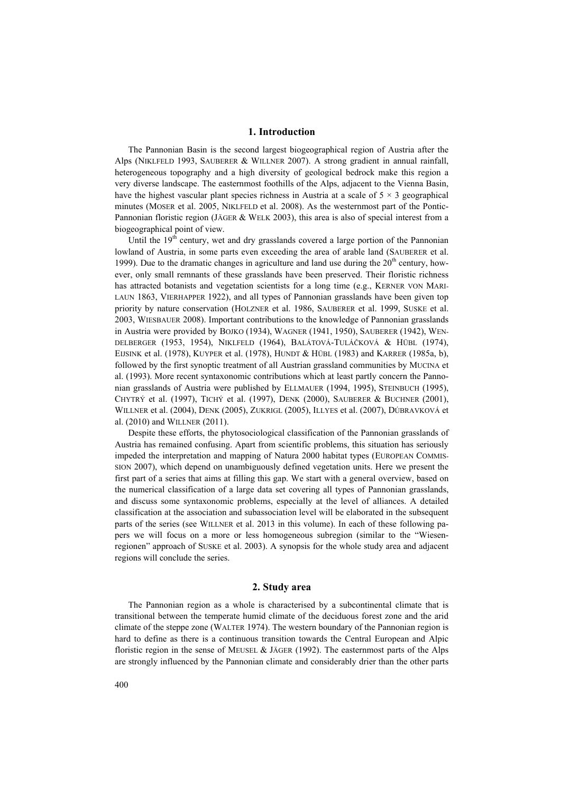## **1. Introduction**

The Pannonian Basin is the second largest biogeographical region of Austria after the Alps (NIKLFELD 1993, SAUBERER & WILLNER 2007). A strong gradient in annual rainfall, heterogeneous topography and a high diversity of geological bedrock make this region a very diverse landscape. The easternmost foothills of the Alps, adjacent to the Vienna Basin, have the highest vascular plant species richness in Austria at a scale of  $5 \times 3$  geographical minutes (MOSER et al. 2005, NIKLFELD et al. 2008). As the westernmost part of the Pontic-Pannonian floristic region (JÄGER & WELK 2003), this area is also of special interest from a biogeographical point of view.

Until the  $19<sup>th</sup>$  century, wet and dry grasslands covered a large portion of the Pannonian lowland of Austria, in some parts even exceeding the area of arable land (SAUBERER et al. 1999). Due to the dramatic changes in agriculture and land use during the  $20<sup>th</sup>$  century, however, only small remnants of these grasslands have been preserved. Their floristic richness has attracted botanists and vegetation scientists for a long time (e.g., KERNER VON MARI-LAUN 1863, VIERHAPPER 1922), and all types of Pannonian grasslands have been given top priority by nature conservation (HOLZNER et al. 1986, SAUBERER et al. 1999, SUSKE et al. 2003, WIESBAUER 2008). Important contributions to the knowledge of Pannonian grasslands in Austria were provided by BOJKO (1934), WAGNER (1941, 1950), SAUBERER (1942), WEN-DELBERGER (1953, 1954), NIKLFELD (1964), BALÁTOVÁ-TULÁČKOVÁ & HÜBL (1974), EIJSINK et al. (1978), KUYPER et al. (1978), HUNDT & HÜBL (1983) and KARRER (1985a, b), followed by the first synoptic treatment of all Austrian grassland communities by MUCINA et al. (1993). More recent syntaxonomic contributions which at least partly concern the Pannonian grasslands of Austria were published by ELLMAUER (1994, 1995), STEINBUCH (1995), CHYTRÝ et al. (1997), TICHÝ et al. (1997), DENK (2000), SAUBERER & BUCHNER (2001), WILLNER et al. (2004), DENK (2005), ZUKRIGL (2005), ILLYES et al. (2007), DÚBRAVKOVÁ et al. (2010) and WILLNER (2011).

Despite these efforts, the phytosociological classification of the Pannonian grasslands of Austria has remained confusing. Apart from scientific problems, this situation has seriously impeded the interpretation and mapping of Natura 2000 habitat types (EUROPEAN COMMIS-SION 2007), which depend on unambiguously defined vegetation units. Here we present the first part of a series that aims at filling this gap. We start with a general overview, based on the numerical classification of a large data set covering all types of Pannonian grasslands, and discuss some syntaxonomic problems, especially at the level of alliances. A detailed classification at the association and subassociation level will be elaborated in the subsequent parts of the series (see WILLNER et al. 2013 in this volume). In each of these following papers we will focus on a more or less homogeneous subregion (similar to the "Wiesenregionen" approach of SUSKE et al. 2003). A synopsis for the whole study area and adjacent regions will conclude the series.

#### **2. Study area**

The Pannonian region as a whole is characterised by a subcontinental climate that is transitional between the temperate humid climate of the deciduous forest zone and the arid climate of the steppe zone (WALTER 1974). The western boundary of the Pannonian region is hard to define as there is a continuous transition towards the Central European and Alpic floristic region in the sense of MEUSEL & JÄGER (1992). The easternmost parts of the Alps are strongly influenced by the Pannonian climate and considerably drier than the other parts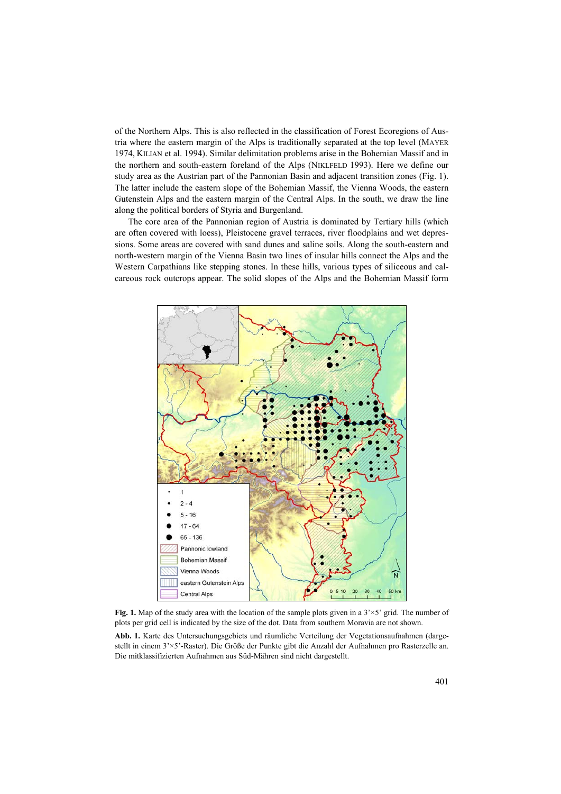of the Northern Alps. This is also reflected in the classification of Forest Ecoregions of Austria where the eastern margin of the Alps is traditionally separated at the top level (MAYER 1974, KILIAN et al. 1994). Similar delimitation problems arise in the Bohemian Massif and in the northern and south-eastern foreland of the Alps (NIKLFELD 1993). Here we define our study area as the Austrian part of the Pannonian Basin and adjacent transition zones (Fig. 1). The latter include the eastern slope of the Bohemian Massif, the Vienna Woods, the eastern Gutenstein Alps and the eastern margin of the Central Alps. In the south, we draw the line along the political borders of Styria and Burgenland.

The core area of the Pannonian region of Austria is dominated by Tertiary hills (which are often covered with loess), Pleistocene gravel terraces, river floodplains and wet depressions. Some areas are covered with sand dunes and saline soils. Along the south-eastern and north-western margin of the Vienna Basin two lines of insular hills connect the Alps and the Western Carpathians like stepping stones. In these hills, various types of siliceous and calcareous rock outcrops appear. The solid slopes of the Alps and the Bohemian Massif form



**Fig. 1.** Map of the study area with the location of the sample plots given in a 3'×5' grid. The number of plots per grid cell is indicated by the size of the dot. Data from southern Moravia are not shown.

**Abb. 1.** Karte des Untersuchungsgebiets und räumliche Verteilung der Vegetationsaufnahmen (dargestellt in einem 3'×5'-Raster). Die Größe der Punkte gibt die Anzahl der Aufnahmen pro Rasterzelle an. Die mitklassifizierten Aufnahmen aus Süd-Mähren sind nicht dargestellt.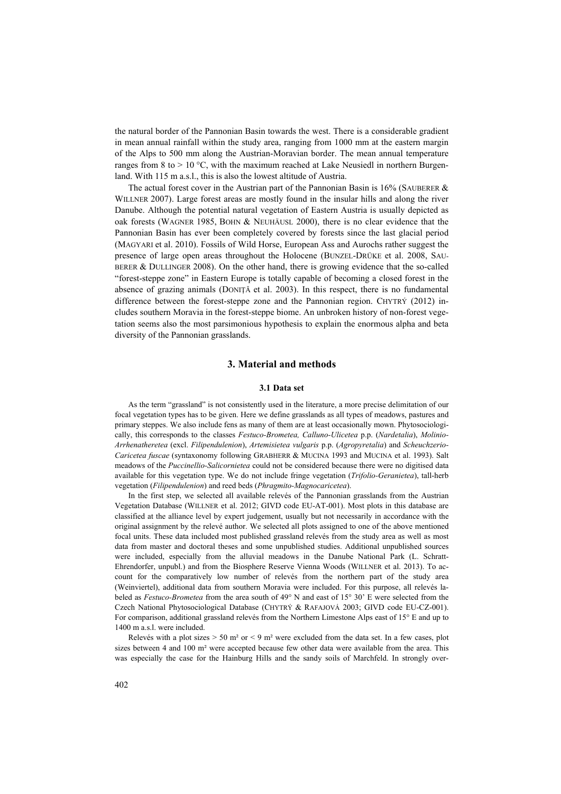the natural border of the Pannonian Basin towards the west. There is a considerable gradient in mean annual rainfall within the study area, ranging from 1000 mm at the eastern margin of the Alps to 500 mm along the Austrian-Moravian border. The mean annual temperature ranges from 8 to  $> 10^{\circ}$ C, with the maximum reached at Lake Neusiedl in northern Burgenland. With 115 m a.s.l., this is also the lowest altitude of Austria.

The actual forest cover in the Austrian part of the Pannonian Basin is  $16\%$  (SAUBERER  $\&$ WILLNER 2007). Large forest areas are mostly found in the insular hills and along the river Danube. Although the potential natural vegetation of Eastern Austria is usually depicted as oak forests (WAGNER 1985, BOHN & NEUHÄUSL 2000), there is no clear evidence that the Pannonian Basin has ever been completely covered by forests since the last glacial period (MAGYARI et al. 2010). Fossils of Wild Horse, European Ass and Aurochs rather suggest the presence of large open areas throughout the Holocene (BUNZEL-DRÜKE et al. 2008, SAU-BERER & DULLINGER 2008). On the other hand, there is growing evidence that the so-called "forest-steppe zone" in Eastern Europe is totally capable of becoming a closed forest in the absence of grazing animals (DONIŢĂ et al. 2003). In this respect, there is no fundamental difference between the forest-steppe zone and the Pannonian region. CHYTRÝ (2012) includes southern Moravia in the forest-steppe biome. An unbroken history of non-forest vegetation seems also the most parsimonious hypothesis to explain the enormous alpha and beta diversity of the Pannonian grasslands.

## **3. Material and methods**

## **3.1 Data set**

As the term "grassland" is not consistently used in the literature, a more precise delimitation of our focal vegetation types has to be given. Here we define grasslands as all types of meadows, pastures and primary steppes. We also include fens as many of them are at least occasionally mown. Phytosociologically, this corresponds to the classes *Festuco-Brometea, Calluno-Ulicetea* p.p. (*Nardetalia*), *Molinio-Arrhenatheretea* (excl. *Filipendulenion*), *Artemisietea vulgaris* p.p. (*Agropyretalia*) and *Scheuchzerio-Caricetea fuscae* (syntaxonomy following GRABHERR & MUCINA 1993 and MUCINA et al. 1993). Salt meadows of the *Puccinellio-Salicornietea* could not be considered because there were no digitised data available for this vegetation type. We do not include fringe vegetation (*Trifolio-Geranietea*), tall-herb vegetation (*Filipendulenion*) and reed beds (*Phragmito-Magnocaricetea*).

In the first step, we selected all available relevés of the Pannonian grasslands from the Austrian Vegetation Database (WILLNER et al. 2012; GIVD code EU-AT-001). Most plots in this database are classified at the alliance level by expert judgement, usually but not necessarily in accordance with the original assignment by the relevé author. We selected all plots assigned to one of the above mentioned focal units. These data included most published grassland relevés from the study area as well as most data from master and doctoral theses and some unpublished studies. Additional unpublished sources were included, especially from the alluvial meadows in the Danube National Park (L. Schratt-Ehrendorfer, unpubl.) and from the Biosphere Reserve Vienna Woods (WILLNER et al. 2013). To account for the comparatively low number of relevés from the northern part of the study area (Weinviertel), additional data from southern Moravia were included. For this purpose, all relevés labeled as *Festuco-Brometea* from the area south of 49° N and east of 15° 30' E were selected from the Czech National Phytosociological Database (CHYTRÝ & RAFAJOVÁ 2003; GIVD code EU-CZ-001). For comparison, additional grassland relevés from the Northern Limestone Alps east of 15° E and up to 1400 m a.s.l. were included.

Relevés with a plot sizes  $> 50$  m<sup>2</sup> or  $< 9$  m<sup>2</sup> were excluded from the data set. In a few cases, plot sizes between 4 and 100 m<sup>2</sup> were accepted because few other data were available from the area. This was especially the case for the Hainburg Hills and the sandy soils of Marchfeld. In strongly over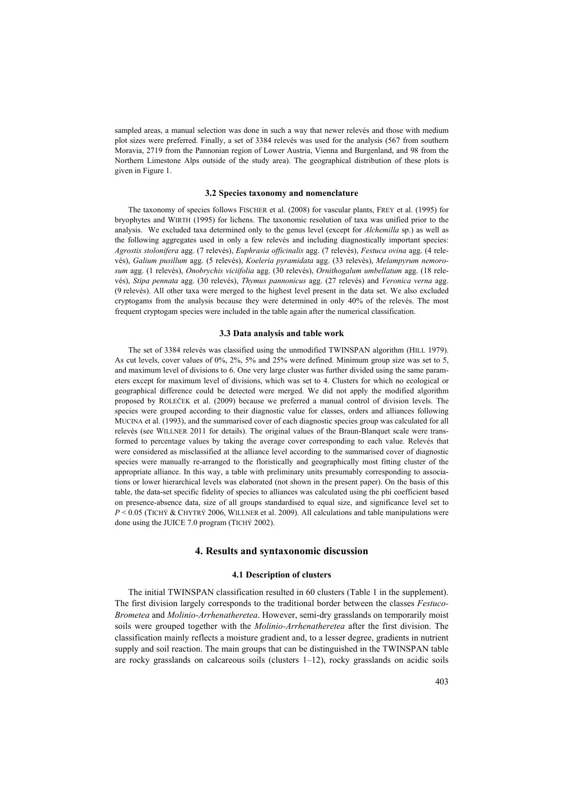sampled areas, a manual selection was done in such a way that newer relevés and those with medium plot sizes were preferred. Finally, a set of 3384 relevés was used for the analysis (567 from southern Moravia, 2719 from the Pannonian region of Lower Austria, Vienna and Burgenland, and 98 from the Northern Limestone Alps outside of the study area). The geographical distribution of these plots is given in Figure 1.

#### **3.2 Species taxonomy and nomenclature**

The taxonomy of species follows FISCHER et al. (2008) for vascular plants, FREY et al. (1995) for bryophytes and WIRTH (1995) for lichens. The taxonomic resolution of taxa was unified prior to the analysis. We excluded taxa determined only to the genus level (except for *Alchemilla* sp.) as well as the following aggregates used in only a few relevés and including diagnostically important species: *Agrostis stolonifera* agg. (7 relevés), *Euphrasia officinalis* agg. (7 relevés), *Festuca ovina* agg. (4 relevés), *Galium pusillum* agg. (5 relevés), *Koeleria pyramidata* agg. (33 relevés), *Melampyrum nemorosum* agg. (1 relevés), *Onobrychis viciifolia* agg. (30 relevés), *Ornithogalum umbellatum* agg. (18 relevés), *Stipa pennata* agg. (30 relevés), *Thymus pannonicus* agg. (27 relevés) and *Veronica verna* agg. (9 relevés). All other taxa were merged to the highest level present in the data set. We also excluded cryptogams from the analysis because they were determined in only 40% of the relevés. The most frequent cryptogam species were included in the table again after the numerical classification.

## **3.3 Data analysis and table work**

The set of 3384 relevés was classified using the unmodified TWINSPAN algorithm (HILL 1979). As cut levels, cover values of 0%, 2%, 5% and 25% were defined. Minimum group size was set to 5, and maximum level of divisions to 6. One very large cluster was further divided using the same parameters except for maximum level of divisions, which was set to 4. Clusters for which no ecological or geographical difference could be detected were merged. We did not apply the modified algorithm proposed by ROLEČEK et al. (2009) because we preferred a manual control of division levels. The species were grouped according to their diagnostic value for classes, orders and alliances following MUCINA et al. (1993), and the summarised cover of each diagnostic species group was calculated for all relevés (see WILLNER 2011 for details). The original values of the Braun-Blanquet scale were transformed to percentage values by taking the average cover corresponding to each value. Relevés that were considered as misclassified at the alliance level according to the summarised cover of diagnostic species were manually re-arranged to the floristically and geographically most fitting cluster of the appropriate alliance. In this way, a table with preliminary units presumably corresponding to associations or lower hierarchical levels was elaborated (not shown in the present paper). On the basis of this table, the data-set specific fidelity of species to alliances was calculated using the phi coefficient based on presence-absence data, size of all groups standardised to equal size, and significance level set to *P* < 0.05 (TICHÝ & CHYTRÝ 2006, WILLNER et al. 2009). All calculations and table manipulations were done using the JUICE 7.0 program (TICHÝ 2002).

# **4. Results and syntaxonomic discussion**

## **4.1 Description of clusters**

The initial TWINSPAN classification resulted in 60 clusters (Table 1 in the supplement). The first division largely corresponds to the traditional border between the classes *Festuco-Brometea* and *Molinio-Arrhenatheretea*. However, semi-dry grasslands on temporarily moist soils were grouped together with the *Molinio-Arrhenatheretea* after the first division. The classification mainly reflects a moisture gradient and, to a lesser degree, gradients in nutrient supply and soil reaction. The main groups that can be distinguished in the TWINSPAN table are rocky grasslands on calcareous soils (clusters  $1-12$ ), rocky grasslands on acidic soils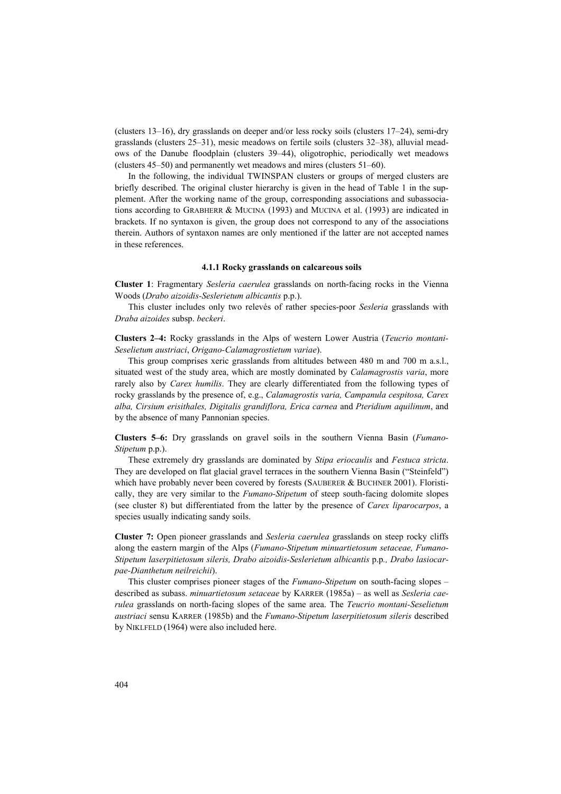(clusters 13–16), dry grasslands on deeper and/or less rocky soils (clusters 17–24), semi-dry grasslands (clusters 25–31), mesic meadows on fertile soils (clusters 32–38), alluvial meadows of the Danube floodplain (clusters 39–44), oligotrophic, periodically wet meadows (clusters 45–50) and permanently wet meadows and mires (clusters 51–60).

In the following, the individual TWINSPAN clusters or groups of merged clusters are briefly described. The original cluster hierarchy is given in the head of Table 1 in the supplement. After the working name of the group, corresponding associations and subassociations according to GRABHERR & MUCINA (1993) and MUCINA et al. (1993) are indicated in brackets. If no syntaxon is given, the group does not correspond to any of the associations therein. Authors of syntaxon names are only mentioned if the latter are not accepted names in these references.

#### **4.1.1 Rocky grasslands on calcareous soils**

**Cluster 1**: Fragmentary *Sesleria caerulea* grasslands on north-facing rocks in the Vienna Woods (*Drabo aizoidis-Seslerietum albicantis* p.p.).

This cluster includes only two relevés of rather species-poor *Sesleria* grasslands with *Draba aizoides* subsp. *beckeri*.

**Clusters 2–4:** Rocky grasslands in the Alps of western Lower Austria (*Teucrio montani-Seselietum austriaci*, *Origano-Calamagrostietum variae*).

This group comprises xeric grasslands from altitudes between 480 m and 700 m a.s.l., situated west of the study area, which are mostly dominated by *Calamagrostis varia*, more rarely also by *Carex humilis*. They are clearly differentiated from the following types of rocky grasslands by the presence of, e.g., *Calamagrostis varia, Campanula cespitosa, Carex alba, Cirsium erisithales, Digitalis grandiflora, Erica carnea* and *Pteridium aquilinum*, and by the absence of many Pannonian species.

**Clusters 5–6:** Dry grasslands on gravel soils in the southern Vienna Basin (*Fumano-Stipetum* p.p.).

These extremely dry grasslands are dominated by *Stipa eriocaulis* and *Festuca stricta*. They are developed on flat glacial gravel terraces in the southern Vienna Basin ("Steinfeld") which have probably never been covered by forests (SAUBERER & BUCHNER 2001). Floristically, they are very similar to the *Fumano-Stipetum* of steep south-facing dolomite slopes (see cluster 8) but differentiated from the latter by the presence of *Carex liparocarpos*, a species usually indicating sandy soils.

**Cluster 7:** Open pioneer grasslands and *Sesleria caerulea* grasslands on steep rocky cliffs along the eastern margin of the Alps (*Fumano-Stipetum minuartietosum setaceae, Fumano-Stipetum laserpitietosum sileris, Drabo aizoidis-Seslerietum albicantis* p.p*., Drabo lasiocarpae-Dianthetum neilreichii*).

This cluster comprises pioneer stages of the *Fumano-Stipetum* on south-facing slopes – described as subass. *minuartietosum setaceae* by KARRER (1985a) – as well as *Sesleria caerulea* grasslands on north-facing slopes of the same area. The *Teucrio montani-Seselietum austriaci* sensu KARRER (1985b) and the *Fumano-Stipetum laserpitietosum sileris* described by NIKLFELD (1964) were also included here.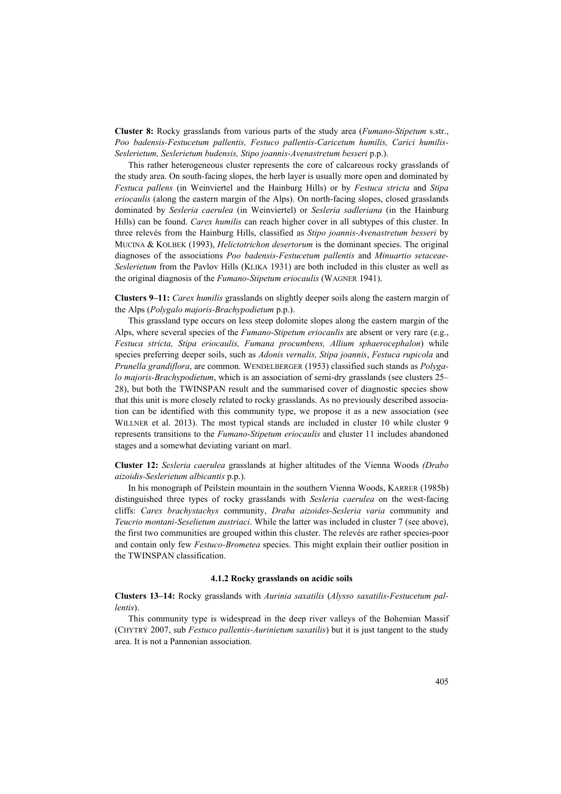**Cluster 8:** Rocky grasslands from various parts of the study area (*Fumano-Stipetum* s.str., *Poo badensis-Festucetum pallentis, Festuco pallentis-Caricetum humilis, Carici humilis-Seslerietum, Seslerietum budensis, Stipo joannis-Avenastretum besseri* p.p.).

This rather heterogeneous cluster represents the core of calcareous rocky grasslands of the study area. On south-facing slopes, the herb layer is usually more open and dominated by *Festuca pallens* (in Weinviertel and the Hainburg Hills) or by *Festuca stricta* and *Stipa eriocaulis* (along the eastern margin of the Alps). On north-facing slopes, closed grasslands dominated by *Sesleria caerulea* (in Weinviertel) or *Sesleria sadleriana* (in the Hainburg Hills) can be found. *Carex humilis* can reach higher cover in all subtypes of this cluster. In three relevés from the Hainburg Hills, classified as *Stipo joannis-Avenastretum besseri* by MUCINA & KOLBEK (1993), *Helictotrichon desertorum* is the dominant species. The original diagnoses of the associations *Poo badensis-Festucetum pallentis* and *Minuartio setaceae-Seslerietum* from the Pavlov Hills (KLIKA 1931) are both included in this cluster as well as the original diagnosis of the *Fumano-Stipetum eriocaulis* (WAGNER 1941).

**Clusters 9–11:** *Carex humilis* grasslands on slightly deeper soils along the eastern margin of the Alps (*Polygalo majoris-Brachypodietum* p.p.).

This grassland type occurs on less steep dolomite slopes along the eastern margin of the Alps, where several species of the *Fumano-Stipetum eriocaulis* are absent or very rare (e.g., *Festuca stricta, Stipa eriocaulis, Fumana procumbens, Allium sphaerocephalon*) while species preferring deeper soils, such as *Adonis vernalis, Stipa joannis*, *Festuca rupicola* and *Prunella grandiflora*, are common. WENDELBERGER (1953) classified such stands as *Polygalo majoris-Brachypodietum*, which is an association of semi-dry grasslands (see clusters 25– 28), but both the TWINSPAN result and the summarised cover of diagnostic species show that this unit is more closely related to rocky grasslands. As no previously described association can be identified with this community type, we propose it as a new association (see WILLNER et al. 2013). The most typical stands are included in cluster 10 while cluster 9 represents transitions to the *Fumano-Stipetum eriocaulis* and cluster 11 includes abandoned stages and a somewhat deviating variant on marl.

**Cluster 12:** *Sesleria caerulea* grasslands at higher altitudes of the Vienna Woods *(Drabo aizoidis-Seslerietum albicantis* p.p.).

In his monograph of Peilstein mountain in the southern Vienna Woods, KARRER (1985b) distinguished three types of rocky grasslands with *Sesleria caerulea* on the west-facing cliffs: *Carex brachystachys* community, *Draba aizoides-Sesleria varia* community and *Teucrio montani-Seselietum austriaci*. While the latter was included in cluster 7 (see above), the first two communities are grouped within this cluster. The relevés are rather species-poor and contain only few *Festuco-Brometea* species. This might explain their outlier position in the TWINSPAN classification.

#### **4.1.2 Rocky grasslands on acidic soils**

**Clusters 13–14:** Rocky grasslands with *Aurinia saxatilis* (*Alysso saxatilis-Festucetum pallentis*).

This community type is widespread in the deep river valleys of the Bohemian Massif (CHYTRÝ 2007, sub *Festuco pallentis-Aurinietum saxatilis*) but it is just tangent to the study area. It is not a Pannonian association.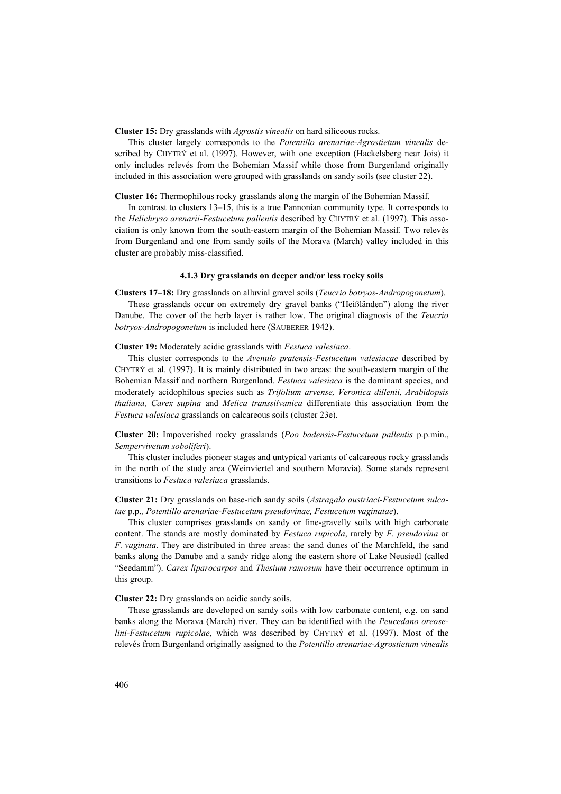**Cluster 15:** Dry grasslands with *Agrostis vinealis* on hard siliceous rocks.

This cluster largely corresponds to the *Potentillo arenariae-Agrostietum vinealis* described by CHYTRÝ et al. (1997). However, with one exception (Hackelsberg near Jois) it only includes relevés from the Bohemian Massif while those from Burgenland originally included in this association were grouped with grasslands on sandy soils (see cluster 22).

**Cluster 16:** Thermophilous rocky grasslands along the margin of the Bohemian Massif.

In contrast to clusters 13–15, this is a true Pannonian community type. It corresponds to the *Helichryso arenarii-Festucetum pallentis* described by CHYTRÝ et al. (1997). This association is only known from the south-eastern margin of the Bohemian Massif. Two relevés from Burgenland and one from sandy soils of the Morava (March) valley included in this cluster are probably miss-classified.

## **4.1.3 Dry grasslands on deeper and/or less rocky soils**

**Clusters 17–18:** Dry grasslands on alluvial gravel soils (*Teucrio botryos-Andropogonetum*).

These grasslands occur on extremely dry gravel banks ("Heißländen") along the river Danube. The cover of the herb layer is rather low. The original diagnosis of the *Teucrio botryos-Andropogonetum* is included here (SAUBERER 1942).

## **Cluster 19:** Moderately acidic grasslands with *Festuca valesiaca*.

This cluster corresponds to the *Avenulo pratensis-Festucetum valesiacae* described by CHYTRÝ et al. (1997). It is mainly distributed in two areas: the south-eastern margin of the Bohemian Massif and northern Burgenland. *Festuca valesiaca* is the dominant species, and moderately acidophilous species such as *Trifolium arvense, Veronica dillenii, Arabidopsis thaliana, Carex supina* and *Melica transsilvanica* differentiate this association from the *Festuca valesiaca* grasslands on calcareous soils (cluster 23e).

**Cluster 20:** Impoverished rocky grasslands (*Poo badensis-Festucetum pallentis* p.p.min., *Sempervivetum soboliferi*).

This cluster includes pioneer stages and untypical variants of calcareous rocky grasslands in the north of the study area (Weinviertel and southern Moravia). Some stands represent transitions to *Festuca valesiaca* grasslands.

**Cluster 21:** Dry grasslands on base-rich sandy soils (*Astragalo austriaci-Festucetum sulcatae* p.p.*, Potentillo arenariae-Festucetum pseudovinae, Festucetum vaginatae*).

This cluster comprises grasslands on sandy or fine-gravelly soils with high carbonate content. The stands are mostly dominated by *Festuca rupicola*, rarely by *F. pseudovina* or *F. vaginata*. They are distributed in three areas: the sand dunes of the Marchfeld, the sand banks along the Danube and a sandy ridge along the eastern shore of Lake Neusiedl (called "Seedamm"). *Carex liparocarpos* and *Thesium ramosum* have their occurrence optimum in this group.

**Cluster 22:** Dry grasslands on acidic sandy soils.

These grasslands are developed on sandy soils with low carbonate content, e.g. on sand banks along the Morava (March) river. They can be identified with the *Peucedano oreoselini-Festucetum rupicolae*, which was described by CHYTRÝ et al. (1997). Most of the relevés from Burgenland originally assigned to the *Potentillo arenariae-Agrostietum vinealis*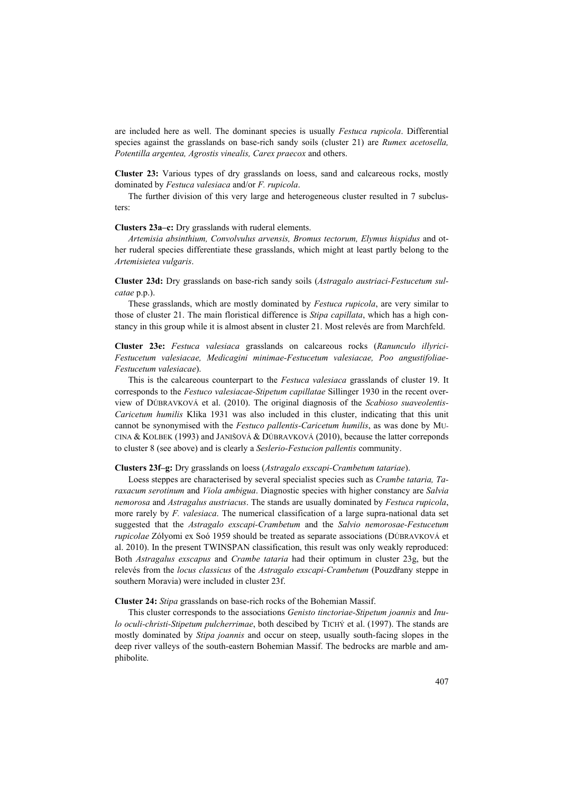are included here as well. The dominant species is usually *Festuca rupicola*. Differential species against the grasslands on base-rich sandy soils (cluster 21) are *Rumex acetosella, Potentilla argentea, Agrostis vinealis, Carex praecox* and others.

**Cluster 23:** Various types of dry grasslands on loess, sand and calcareous rocks, mostly dominated by *Festuca valesiaca* and/or *F. rupicola*.

The further division of this very large and heterogeneous cluster resulted in 7 subclusters:

## **Clusters 23a–c:** Dry grasslands with ruderal elements.

*Artemisia absinthium, Convolvulus arvensis, Bromus tectorum, Elymus hispidus* and other ruderal species differentiate these grasslands, which might at least partly belong to the *Artemisietea vulgaris*.

**Cluster 23d:** Dry grasslands on base-rich sandy soils (*Astragalo austriaci-Festucetum sulcatae* p.p.).

These grasslands, which are mostly dominated by *Festuca rupicola*, are very similar to those of cluster 21. The main floristical difference is *Stipa capillata*, which has a high constancy in this group while it is almost absent in cluster 21. Most relevés are from Marchfeld.

**Cluster 23e:** *Festuca valesiaca* grasslands on calcareous rocks (*Ranunculo illyrici-Festucetum valesiacae, Medicagini minimae-Festucetum valesiacae, Poo angustifoliae-Festucetum valesiacae*).

This is the calcareous counterpart to the *Festuca valesiaca* grasslands of cluster 19. It corresponds to the *Festuco valesiacae-Stipetum capillatae* Sillinger 1930 in the recent overview of DÚBRAVKOVÁ et al. (2010). The original diagnosis of the *Scabioso suaveolentis-Caricetum humilis* Klika 1931 was also included in this cluster, indicating that this unit cannot be synonymised with the *Festuco pallentis-Caricetum humilis*, as was done by MU-CINA & KOLBEK (1993) and JANIŠOVÁ & DÚBRAVKOVÁ (2010), because the latter correponds to cluster 8 (see above) and is clearly a *Seslerio-Festucion pallentis* community.

## **Clusters 23f–g:** Dry grasslands on loess (*Astragalo exscapi-Crambetum tatariae*).

Loess steppes are characterised by several specialist species such as *Crambe tataria, Taraxacum serotinum* and *Viola ambigua*. Diagnostic species with higher constancy are *Salvia nemorosa* and *Astragalus austriacus*. The stands are usually dominated by *Festuca rupicola*, more rarely by *F. valesiaca*. The numerical classification of a large supra-national data set suggested that the *Astragalo exscapi-Crambetum* and the *Salvio nemorosae-Festucetum rupicolae* Zólyomi ex Soó 1959 should be treated as separate associations (DÚBRAVKOVÁ et al. 2010). In the present TWINSPAN classification, this result was only weakly reproduced: Both *Astragalus exscapus* and *Crambe tataria* had their optimum in cluster 23g, but the relevés from the *locus classicus* of the *Astragalo exscapi-Crambetum* (Pouzdřany steppe in southern Moravia) were included in cluster 23f.

#### **Cluster 24:** *Stipa* grasslands on base-rich rocks of the Bohemian Massif.

This cluster corresponds to the associations *Genisto tinctoriae-Stipetum joannis* and *Inulo oculi-christi-Stipetum pulcherrimae*, both descibed by TICHÝ et al. (1997). The stands are mostly dominated by *Stipa joannis* and occur on steep, usually south-facing slopes in the deep river valleys of the south-eastern Bohemian Massif. The bedrocks are marble and amphibolite.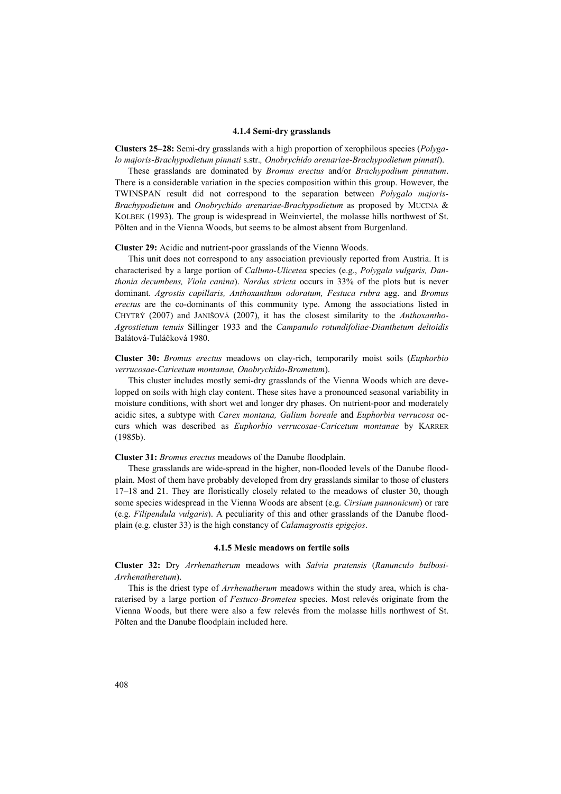#### **4.1.4 Semi-dry grasslands**

**Clusters 25–28:** Semi-dry grasslands with a high proportion of xerophilous species (*Polygalo majoris-Brachypodietum pinnati* s.str.*, Onobrychido arenariae-Brachypodietum pinnati*).

These grasslands are dominated by *Bromus erectus* and/or *Brachypodium pinnatum*. There is a considerable variation in the species composition within this group. However, the TWINSPAN result did not correspond to the separation between *Polygalo majoris-Brachypodietum* and *Onobrychido arenariae-Brachypodietum* as proposed by MUCINA & KOLBEK (1993). The group is widespread in Weinviertel, the molasse hills northwest of St. Pölten and in the Vienna Woods, but seems to be almost absent from Burgenland.

**Cluster 29:** Acidic and nutrient-poor grasslands of the Vienna Woods.

This unit does not correspond to any association previously reported from Austria. It is characterised by a large portion of *Calluno-Ulicetea* species (e.g., *Polygala vulgaris, Danthonia decumbens, Viola canina*). *Nardus stricta* occurs in 33% of the plots but is never dominant. *Agrostis capillaris, Anthoxanthum odoratum, Festuca rubra* agg. and *Bromus erectus* are the co-dominants of this community type. Among the associations listed in CHYTRÝ (2007) and JANIŠOVÁ (2007), it has the closest similarity to the *Anthoxantho-Agrostietum tenuis* Sillinger 1933 and the *Campanulo rotundifoliae-Dianthetum deltoidis* Balátová-Tuláčková 1980.

**Cluster 30:** *Bromus erectus* meadows on clay-rich, temporarily moist soils (*Euphorbio verrucosae-Caricetum montanae, Onobrychido-Brometum*).

This cluster includes mostly semi-dry grasslands of the Vienna Woods which are developped on soils with high clay content. These sites have a pronounced seasonal variability in moisture conditions, with short wet and longer dry phases. On nutrient-poor and moderately acidic sites, a subtype with *Carex montana, Galium boreale* and *Euphorbia verrucosa* occurs which was described as *Euphorbio verrucosae-Caricetum montanae* by KARRER (1985b).

**Cluster 31:** *Bromus erectus* meadows of the Danube floodplain.

These grasslands are wide-spread in the higher, non-flooded levels of the Danube floodplain. Most of them have probably developed from dry grasslands similar to those of clusters 17–18 and 21. They are floristically closely related to the meadows of cluster 30, though some species widespread in the Vienna Woods are absent (e.g. *Cirsium pannonicum*) or rare (e.g. *Filipendula vulgaris*). A peculiarity of this and other grasslands of the Danube floodplain (e.g. cluster 33) is the high constancy of *Calamagrostis epigejos*.

## **4.1.5 Mesic meadows on fertile soils**

**Cluster 32:** Dry *Arrhenatherum* meadows with *Salvia pratensis* (*Ranunculo bulbosi-Arrhenatheretum*).

This is the driest type of *Arrhenatherum* meadows within the study area, which is charaterised by a large portion of *Festuco-Brometea* species. Most relevés originate from the Vienna Woods, but there were also a few relevés from the molasse hills northwest of St. Pölten and the Danube floodplain included here.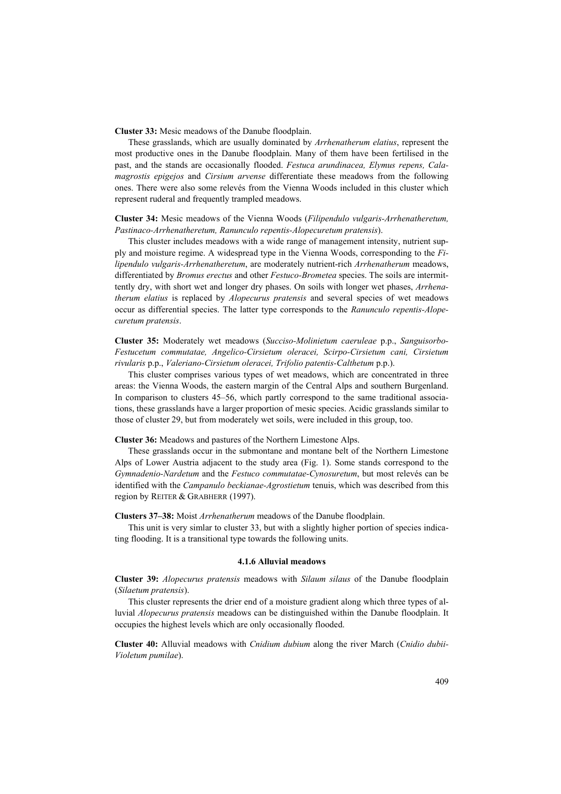**Cluster 33:** Mesic meadows of the Danube floodplain.

These grasslands, which are usually dominated by *Arrhenatherum elatius*, represent the most productive ones in the Danube floodplain. Many of them have been fertilised in the past, and the stands are occasionally flooded. *Festuca arundinacea, Elymus repens, Calamagrostis epigejos* and *Cirsium arvense* differentiate these meadows from the following ones. There were also some relevés from the Vienna Woods included in this cluster which represent ruderal and frequently trampled meadows.

**Cluster 34:** Mesic meadows of the Vienna Woods (*Filipendulo vulgaris-Arrhenatheretum, Pastinaco-Arrhenatheretum, Ranunculo repentis-Alopecuretum pratensis*).

This cluster includes meadows with a wide range of management intensity, nutrient supply and moisture regime. A widespread type in the Vienna Woods, corresponding to the *Filipendulo vulgaris-Arrhenatheretum*, are moderately nutrient-rich *Arrhenatherum* meadows, differentiated by *Bromus erectus* and other *Festuco-Brometea* species. The soils are intermittently dry, with short wet and longer dry phases. On soils with longer wet phases, *Arrhenatherum elatius* is replaced by *Alopecurus pratensis* and several species of wet meadows occur as differential species. The latter type corresponds to the *Ranunculo repentis-Alopecuretum pratensis*.

**Cluster 35:** Moderately wet meadows (*Succiso-Molinietum caeruleae* p.p., *Sanguisorbo-Festucetum commutatae, Angelico-Cirsietum oleracei, Scirpo-Cirsietum cani, Cirsietum rivularis* p.p., *Valeriano-Cirsietum oleracei, Trifolio patentis-Calthetum* p.p.).

This cluster comprises various types of wet meadows, which are concentrated in three areas: the Vienna Woods, the eastern margin of the Central Alps and southern Burgenland. In comparison to clusters 45–56, which partly correspond to the same traditional associations, these grasslands have a larger proportion of mesic species. Acidic grasslands similar to those of cluster 29, but from moderately wet soils, were included in this group, too.

## **Cluster 36:** Meadows and pastures of the Northern Limestone Alps.

These grasslands occur in the submontane and montane belt of the Northern Limestone Alps of Lower Austria adjacent to the study area (Fig. 1). Some stands correspond to the *Gymnadenio-Nardetum* and the *Festuco commutatae-Cynosuretum*, but most relevés can be identified with the *Campanulo beckianae-Agrostietum* tenuis, which was described from this region by REITER & GRABHERR (1997).

**Clusters 37–38:** Moist *Arrhenatherum* meadows of the Danube floodplain.

This unit is very simlar to cluster 33, but with a slightly higher portion of species indicating flooding. It is a transitional type towards the following units.

## **4.1.6 Alluvial meadows**

**Cluster 39:** *Alopecurus pratensis* meadows with *Silaum silaus* of the Danube floodplain (*Silaetum pratensis*).

This cluster represents the drier end of a moisture gradient along which three types of alluvial *Alopecurus pratensis* meadows can be distinguished within the Danube floodplain. It occupies the highest levels which are only occasionally flooded.

**Cluster 40:** Alluvial meadows with *Cnidium dubium* along the river March (*Cnidio dubii-Violetum pumilae*).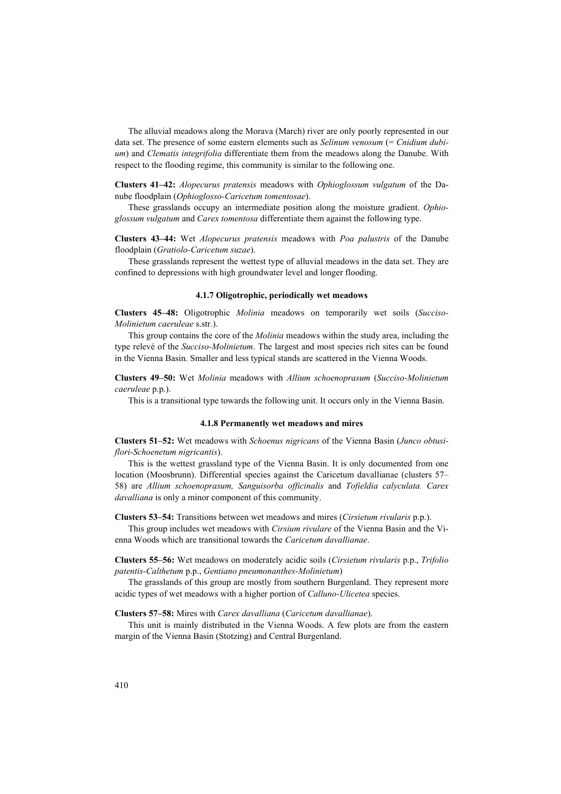The alluvial meadows along the Morava (March) river are only poorly represented in our data set. The presence of some eastern elements such as *Selinum venosum* (= *Cnidium dubium*) and *Clematis integrifolia* differentiate them from the meadows along the Danube. With respect to the flooding regime, this community is similar to the following one.

**Clusters 41–42:** *Alopecurus pratensis* meadows with *Ophioglossum vulgatum* of the Danube floodplain (*Ophioglosso-Caricetum tomentosae*).

These grasslands occupy an intermediate position along the moisture gradient. *Ophioglossum vulgatum* and *Carex tomentosa* differentiate them against the following type.

**Clusters 43–44:** Wet *Alopecurus pratensis* meadows with *Poa palustris* of the Danube floodplain (*Gratiolo-Caricetum suzae*).

These grasslands represent the wettest type of alluvial meadows in the data set. They are confined to depressions with high groundwater level and longer flooding.

#### **4.1.7 Oligotrophic, periodically wet meadows**

**Clusters 45–48:** Oligotrophic *Molinia* meadows on temporarily wet soils (*Succiso-Molinietum caeruleae* s.str.).

This group contains the core of the *Molinia* meadows within the study area, including the type relevé of the *Succiso-Molinietum*. The largest and most species rich sites can be found in the Vienna Basin. Smaller and less typical stands are scattered in the Vienna Woods.

**Clusters 49–50:** Wet *Molinia* meadows with *Allium schoenoprasum* (*Succiso-Molinietum caeruleae* p.p.).

This is a transitional type towards the following unit. It occurs only in the Vienna Basin.

#### **4.1.8 Permanently wet meadows and mires**

**Clusters 51–52:** Wet meadows with *Schoenus nigricans* of the Vienna Basin (*Junco obtusiflori-Schoenetum nigricantis*).

This is the wettest grassland type of the Vienna Basin. It is only documented from one location (Moosbrunn). Differential species against the Caricetum davallianae (clusters 57– 58) are *Allium schoenoprasum, Sanguisorba officinalis* and *Tofieldia calyculata. Carex davalliana* is only a minor component of this community.

**Clusters 53–54:** Transitions between wet meadows and mires (*Cirsietum rivularis* p.p.).

This group includes wet meadows with *Cirsium rivulare* of the Vienna Basin and the Vienna Woods which are transitional towards the *Caricetum davallianae*.

**Clusters 55–56:** Wet meadows on moderately acidic soils (*Cirsietum rivularis* p.p., *Trifolio patentis-Calthetum* p.p., *Gentiano pneumonanthes-Molinietum*)

The grasslands of this group are mostly from southern Burgenland. They represent more acidic types of wet meadows with a higher portion of *Calluno-Ulicetea* species.

**Clusters 57–58:** Mires with *Carex davalliana* (*Caricetum davallianae*).

This unit is mainly distributed in the Vienna Woods. A few plots are from the eastern margin of the Vienna Basin (Stotzing) and Central Burgenland.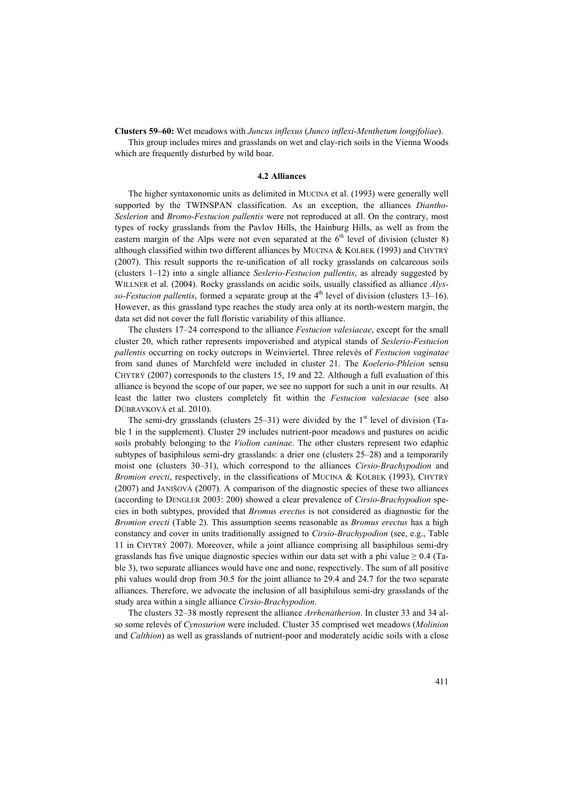**Clusters 59–60:** Wet meadows with *Juncus inflexus* (*Junco inflexi-Menthetum longifoliae*).

This group includes mires and grasslands on wet and clay-rich soils in the Vienna Woods which are frequently disturbed by wild boar.

#### **4.2 Alliances**

The higher syntaxonomic units as delimited in MUCINA et al. (1993) were generally well supported by the TWINSPAN classification. As an exception, the alliances *Diantho-Seslerion* and *Bromo-Festucion pallentis* were not reproduced at all. On the contrary, most types of rocky grasslands from the Pavlov Hills, the Hainburg Hills, as well as from the eastern margin of the Alps were not even separated at the  $6<sup>th</sup>$  level of division (cluster 8) although classified within two different alliances by MUCINA & KOLBEK (1993) and CHYTRÝ (2007). This result supports the re-unification of all rocky grasslands on calcareous soils (clusters 1–12) into a single alliance *Seslerio-Festucion pallentis*, as already suggested by WILLNER et al. (2004). Rocky grasslands on acidic soils, usually classified as alliance *Alysso-Festucion pallentis*, formed a separate group at the  $4<sup>th</sup>$  level of division (clusters 13–16). However, as this grassland type reaches the study area only at its north-western margin, the data set did not cover the full floristic variability of this alliance.

The clusters 17–24 correspond to the alliance *Festucion valesiacae*, except for the small cluster 20, which rather represents impoverished and atypical stands of *Seslerio-Festucion pallentis* occurring on rocky outcrops in Weinviertel. Three relevés of *Festucion vaginatae* from sand dunes of Marchfeld were included in cluster 21. The *Koelerio-Phleion* sensu CHYTRÝ (2007) corresponds to the clusters 15, 19 and 22. Although a full evaluation of this alliance is beyond the scope of our paper, we see no support for such a unit in our results. At least the latter two clusters completely fit within the *Festucion valesiacae* (see also DÚBRAVKOVÁ et al. 2010).

The semi-dry grasslands (clusters  $25-31$ ) were divided by the  $1<sup>st</sup>$  level of division (Table 1 in the supplement). Cluster 29 includes nutrient-poor meadows and pastures on acidic soils probably belonging to the *Violion caninae*. The other clusters represent two edaphic subtypes of basiphilous semi-dry grasslands: a drier one (clusters 25–28) and a temporarily moist one (clusters 30–31), which correspond to the alliances *Cirsio-Brachypodion* and *Bromion erecti*, respectively, in the classifications of MUCINA & KOLBEK (1993), CHYTRÝ (2007) and JANIŠOVÁ (2007). A comparison of the diagnostic species of these two alliances (according to DENGLER 2003: 200) showed a clear prevalence of *Cirsio-Brachypodion* species in both subtypes, provided that *Bromus erectus* is not considered as diagnostic for the *Bromion erecti* (Table 2). This assumption seems reasonable as *Bromus erectus* has a high constancy and cover in units traditionally assigned to *Cirsio-Brachypodion* (see, e.g., Table 11 in CHYTRÝ 2007). Moreover, while a joint alliance comprising all basiphilous semi-dry grasslands has five unique diagnostic species within our data set with a phi value  $\geq 0.4$  (Table 3), two separate alliances would have one and none, respectively. The sum of all positive phi values would drop from 30.5 for the joint alliance to 29.4 and 24.7 for the two separate alliances. Therefore, we advocate the inclusion of all basiphilous semi-dry grasslands of the study area within a single alliance *Cirsio-Brachypodion*.

The clusters 32–38 mostly represent the alliance *Arrhenatherion*. In cluster 33 and 34 also some relevés of *Cynosurion* were included. Cluster 35 comprised wet meadows (*Molinion* and *Calthion*) as well as grasslands of nutrient-poor and moderately acidic soils with a close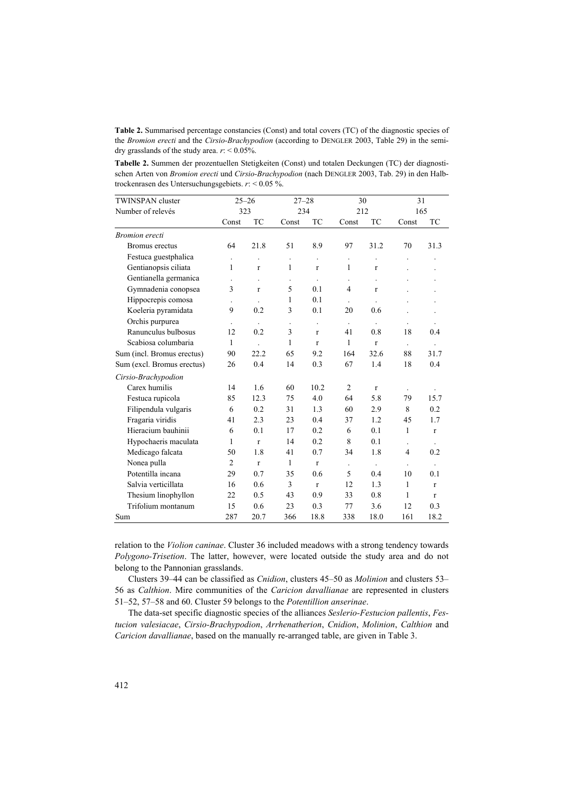**Table 2.** Summarised percentage constancies (Const) and total covers (TC) of the diagnostic species of the *Bromion erecti* and the *Cirsio-Brachypodion* (according to DENGLER 2003, Table 29) in the semidry grasslands of the study area. *r*: < 0.05%.

**Tabelle 2.** Summen der prozentuellen Stetigkeiten (Const) und totalen Deckungen (TC) der diagnostischen Arten von *Bromion erecti* und *Cirsio-Brachypodion* (nach DENGLER 2003, Tab. 29) in den Halbtrockenrasen des Untersuchungsgebiets. *r*: < 0.05 %.

| <b>TWINSPAN</b> cluster    |                      | $25 - 26$      | $27 - 28$            |                      | 30                   |                      | 31                   |              |  |  |  |  |  |
|----------------------------|----------------------|----------------|----------------------|----------------------|----------------------|----------------------|----------------------|--------------|--|--|--|--|--|
| Number of relevés          | 323                  |                | 234                  |                      | 212                  |                      | 165                  |              |  |  |  |  |  |
|                            | Const                | TC             | Const                | <b>TC</b>            | Const                | <b>TC</b>            | Const                | TC           |  |  |  |  |  |
| <b>Bromion</b> erecti      |                      |                |                      |                      |                      |                      |                      |              |  |  |  |  |  |
| Bromus erectus             | 64                   | 21.8           | 51                   | 8.9                  | 97                   | 31.2                 | 70                   | 31.3         |  |  |  |  |  |
| Festuca guestphalica       | $\ddot{\phantom{0}}$ | $\overline{a}$ | $\ddot{\phantom{0}}$ | $\ddot{\phantom{a}}$ | $\ddot{\phantom{0}}$ |                      |                      |              |  |  |  |  |  |
| Gentianopsis ciliata       | 1                    | $\mathbf{r}$   | 1                    | $\mathbf{r}$         | 1                    | $\mathbf{r}$         |                      |              |  |  |  |  |  |
| Gentianella germanica      |                      |                |                      |                      |                      |                      |                      |              |  |  |  |  |  |
| Gymnadenia conopsea        | 3                    | $\mathbf r$    | 5                    | 0.1                  | 4                    | $\mathbf{r}$         |                      |              |  |  |  |  |  |
| Hippocrepis comosa         |                      |                | 1                    | 0.1                  | $\ddot{\phantom{a}}$ | $\ddot{\phantom{a}}$ |                      |              |  |  |  |  |  |
| Koeleria pyramidata        | 9                    | 0.2            | 3                    | 0.1                  | 20                   | 0.6                  |                      |              |  |  |  |  |  |
| Orchis purpurea            |                      |                |                      | $\ddot{\phantom{a}}$ |                      |                      |                      |              |  |  |  |  |  |
| Ranunculus bulbosus        | 12                   | 0.2            | 3                    | $\mathbf{r}$         | 41                   | 0.8                  | 18                   | 0.4          |  |  |  |  |  |
| Scabiosa columbaria        | 1                    |                | 1                    | $\mathbf{r}$         | 1                    | $\mathbf{r}$         | $\ddot{\phantom{a}}$ |              |  |  |  |  |  |
| Sum (incl. Bromus erectus) | 90                   | 22.2           | 65                   | 9.2                  | 164                  | 32.6                 | 88                   | 31.7         |  |  |  |  |  |
| Sum (excl. Bromus erectus) | 26                   | 0.4            | 14                   | 0.3                  | 67                   | 1.4                  | 18                   | 0.4          |  |  |  |  |  |
| Cirsio-Brachypodion        |                      |                |                      |                      |                      |                      |                      |              |  |  |  |  |  |
| Carex humilis              | 14                   | 1.6            | 60                   | 10.2                 | 2                    | $\mathbf{r}$         |                      |              |  |  |  |  |  |
| Festuca rupicola           | 85                   | 12.3           | 75                   | 4.0                  | 64                   | 5.8                  | 79                   | 15.7         |  |  |  |  |  |
| Filipendula vulgaris       | 6                    | 0.2            | 31                   | 1.3                  | 60                   | 2.9                  | 8                    | 0.2          |  |  |  |  |  |
| Fragaria viridis           | 41                   | 2.3            | 23                   | 0.4                  | 37                   | 1.2                  | 45                   | 1.7          |  |  |  |  |  |
| Hieracium bauhinii         | 6                    | 0.1            | 17                   | 0.2                  | 6                    | 0.1                  | 1                    | $\mathbf{r}$ |  |  |  |  |  |
| Hypochaeris maculata       | 1                    | $\mathbf{r}$   | 14                   | 0.2                  | 8                    | 0.1                  |                      |              |  |  |  |  |  |
| Medicago falcata           | 50                   | 1.8            | 41                   | 0.7                  | 34                   | 1.8                  | $\overline{4}$       | 0.2          |  |  |  |  |  |
| Nonea pulla                | 2                    | $\mathbf{r}$   | 1                    | $\mathbf{r}$         | $\ddot{\phantom{a}}$ | $\ddot{\phantom{a}}$ |                      |              |  |  |  |  |  |
| Potentilla incana          | 29                   | 0.7            | 35                   | 0.6                  | 5                    | 0.4                  | 10                   | 0.1          |  |  |  |  |  |
| Salvia verticillata        | 16                   | 0.6            | 3                    | $\mathbf{r}$         | 12                   | 1.3                  | $\mathbf{1}$         | $\mathbf{r}$ |  |  |  |  |  |
| Thesium linophyllon        | 22                   | 0.5            | 43                   | 0.9                  | 33                   | 0.8                  | $\mathbf{1}$         | $\mathbf{r}$ |  |  |  |  |  |
| Trifolium montanum         | 15                   | 0.6            | 23                   | 0.3                  | 77                   | 3.6                  | 12                   | 0.3          |  |  |  |  |  |
| Sum                        | 287                  | 20.7           | 366                  | 18.8                 | 338                  | 18.0                 | 161                  | 18.2         |  |  |  |  |  |

relation to the *Violion caninae*. Cluster 36 included meadows with a strong tendency towards *Polygono-Trisetion*. The latter, however, were located outside the study area and do not belong to the Pannonian grasslands.

Clusters 39–44 can be classified as *Cnidion*, clusters 45–50 as *Molinion* and clusters 53– 56 as *Calthion*. Mire communities of the *Caricion davallianae* are represented in clusters 51–52, 57–58 and 60. Cluster 59 belongs to the *Potentillion anserinae*.

The data-set specific diagnostic species of the alliances *Seslerio-Festucion pallentis*, *Festucion valesiacae*, *Cirsio-Brachypodion*, *Arrhenatherion*, *Cnidion*, *Molinion*, *Calthion* and *Caricion davallianae*, based on the manually re-arranged table, are given in Table 3.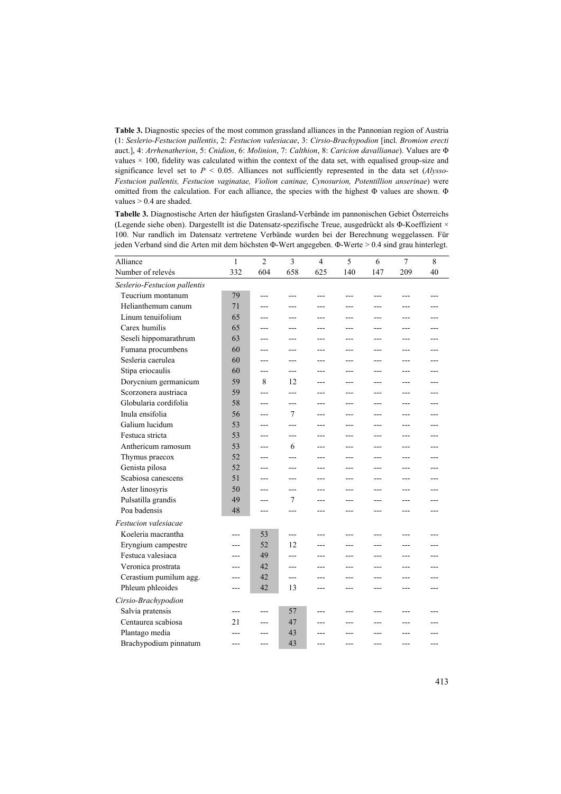**Table 3.** Diagnostic species of the most common grassland alliances in the Pannonian region of Austria (1: *Seslerio-Festucion pallentis*, 2: *Festucion valesiacae*, 3: *Cirsio-Brachypodion* [incl. *Bromion erecti*  auct.], 4: *Arrhenatherion*, 5: *Cnidion*, 6: *Molinion*, 7: *Calthion*, 8: *Caricion davallianae*). Values are Φ values  $\times$  100, fidelity was calculated within the context of the data set, with equalised group-size and significance level set to *P* < 0.05. Alliances not sufficiently represented in the data set (*Alysso-Festucion pallentis, Festucion vaginatae, Violion caninae, Cynosurion, Potentillion anserinae*) were omitted from the calculation. For each alliance, the species with the highest Φ values are shown. Φ values > 0.4 are shaded.

**Tabelle 3.** Diagnostische Arten der häufigsten Grasland-Verbände im pannonischen Gebiet Österreichs (Legende siehe oben). Dargestellt ist die Datensatz-spezifische Treue, ausgedrückt als Φ-Koeffizient × 100. Nur randlich im Datensatz vertretene Verbände wurden bei der Berechnung weggelassen. Für jeden Verband sind die Arten mit dem höchsten Φ-Wert angegeben. Φ-Werte > 0.4 sind grau hinterlegt.

| Alliance                     | $\mathbf{1}$ | $\overline{c}$ | $\mathbf{3}$   | $\overline{\mathcal{L}}$ | 5              | 6              | $\overline{7}$ | 8   |
|------------------------------|--------------|----------------|----------------|--------------------------|----------------|----------------|----------------|-----|
| Number of relevés            | 332          | 604            | 658            | 625                      | 140            | 147            | 209            | 40  |
|                              |              |                |                |                          |                |                |                |     |
| Seslerio-Festucion pallentis |              |                |                |                          |                |                |                |     |
| Teucrium montanum            | 79           | ---            |                |                          | ---            |                |                |     |
| Helianthemum canum           | 71           | ---            | $\overline{a}$ | ---                      | ---            |                |                |     |
| Linum tenuifolium            | 65           | ---            | $---$          | ---                      | ---            | $---$          | ---            | --- |
| Carex humilis                | 65           | ---            | $---$          | ---                      | ---            | $---$          | ---            |     |
| Seseli hippomarathrum        | 63           | ---            | $---$          | ---                      | ---            | ---            | ---            | --- |
| Fumana procumbens            | 60           | ---            | $---$          | ---                      | ---            | ---            | ---            | --- |
| Sesleria caerulea            | 60           | ---            | ---            | ---                      | ---            | ---            | ---            | --- |
| Stipa eriocaulis             | 60           | ---            | $---$          | ---                      | ---            | ---            | ---            | --- |
| Dorycnium germanicum         | 59           | 8              | 12             | ---                      | ---            | ---            | ---            |     |
| Scorzonera austriaca         | 59           | ---            | $---$          | $---$                    | ---            | ---            | ---            | --- |
| Globularia cordifolia        | 58           | ---            | $---$          | $---$                    | ---            | ---            | ---            | --- |
| Inula ensifolia              | 56           | ---            | 7              | $---$                    | ---            | $---$          | ---            | --- |
| Galium lucidum               | 53           | ---            | ---            | ---                      | ---            | ---            | ---            | --- |
| Festuca stricta              | 53           | ---            | ---            | ---                      | ---            | ---            | ---            | --- |
| Anthericum ramosum           | 53           | ---            | 6              | ---                      | ---            | ---            | ---            | --- |
| Thymus praecox               | 52           | ---            | ---            | ---                      | ---            | ---            | ---            | --- |
| Genista pilosa               | 52           | ---            | $---$          | ---                      | ---            | ---            | ---            | --- |
| Scabiosa canescens           | 51           | ---            | $-$ - $-$      | ---                      | $\overline{a}$ | $\overline{a}$ | ---            | --- |
| Aster linosyris              | 50           | ---            | $---$          | ---                      | $\overline{a}$ | $\overline{a}$ | ---            | --- |
| Pulsatilla grandis           | 49           | ---            | 7              | ---                      | ---            | ---            | ---            |     |
| Poa badensis                 | 48           | $---$          | $-$ --         | ---                      | $---$          | $-$ --         |                | --- |
| Festucion valesiacae         |              |                |                |                          |                |                |                |     |
| Koeleria macrantha           | ---          | 53             | $---$          | ---                      | ---            | ---            | ---            |     |
| Eryngium campestre           | ---          | 52             | 12             | ---                      | ---            | ---            | ---            |     |
| Festuca valesiaca            | ---          | 49             | $-$ - $-$      | ---                      | ---            | $---$          | ---            | --- |
| Veronica prostrata           | ---          | 42             | $---$          | ---                      | ---            | ---            |                |     |
| Cerastium pumilum agg.       | ---          | 42             | ---            | ---                      | ---            |                |                |     |
| Phleum phleoides             | $---$        | 42             | 13             | ---                      | ---            | ---            | ---            | --- |
| Cirsio-Brachypodion          |              |                |                |                          |                |                |                |     |
| Salvia pratensis             | ---          | ---            | 57             | ---                      | ---            |                |                |     |
| Centaurea scabiosa           | 21           | ---            | 47             | ---                      | ---            |                |                |     |
|                              |              |                | 43             |                          |                |                |                |     |
| Plantago media               |              |                |                |                          |                |                |                |     |
| Brachypodium pinnatum        |              |                | 43             |                          |                |                |                |     |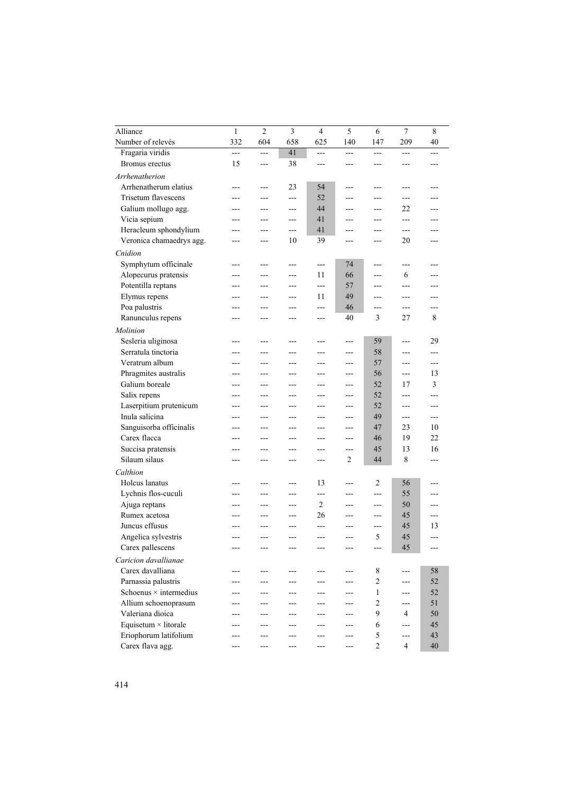|                                | 1         | $\overline{2}$ | $\overline{3}$ | 4              | 5         | 6              | $\overline{7}$           | 8     |
|--------------------------------|-----------|----------------|----------------|----------------|-----------|----------------|--------------------------|-------|
| Alliance                       |           |                |                |                |           |                |                          |       |
| Number of relevés              | 332       | 604            | 658            | 625            | 140       | 147            | 209                      | 40    |
| Fragaria viridis               | ---<br>15 | $\overline{a}$ | 41<br>38       | $\overline{a}$ | $---$     | $---$          | $---$                    | ---   |
| Bromus erectus                 |           | ---            |                | ---            | ---       | ---            | ---                      | ---   |
| Arrhenatherion                 |           |                |                |                |           |                |                          |       |
| Arrhenatherum elatius          |           | ---            | 23             | 54             | $---$     | ---            | ---                      |       |
| <b>Trisetum flavescens</b>     | ---       | ---            | ---            | 52             | $---$     | ---            | ---                      | ---   |
| Galium mollugo agg.            | ---       | ---            | ---            | 44             | $---$     | ---            | 22                       | ---   |
| Vicia sepium                   | ---       | ---            | ---            | 41             | ---       | ---            | ---                      | ---   |
| Heracleum sphondylium          | ---       | ---            | $---$          | 41             | ---       | ---            | ---                      | ---   |
| Veronica chamaedrys agg.       |           |                | 10             | 39             |           |                | 20                       |       |
| Cnidion                        |           |                |                |                |           |                |                          |       |
| Symphytum officinale           | ---       | ---            | $-$ - $-$      | $\overline{a}$ | 74        | ---            | ---                      | ---   |
| Alopecurus pratensis           |           |                |                | 11             | 66        |                | 6                        |       |
| Potentilla reptans             | ---       | ---            | ---            | $---$          | 57        | ---            | ---                      | ---   |
| Elymus repens                  | ---       | ---            | ---            | 11             | 49        | ---            | ---                      | ---   |
| Poa palustris                  |           |                |                | ---            | 46        |                | $\overline{\phantom{a}}$ |       |
| Ranunculus repens              | ---       |                | ---            | ---            | 40        | 3              | 27                       | 8     |
| Molinion                       |           |                |                |                |           |                |                          |       |
| Sesleria uliginosa             |           |                |                |                |           | 59             |                          | 29    |
| Serratula tinctoria            | ---       |                | ---            | ---            | ---       | 58             | ---                      | ---   |
| Veratrum album                 | ---       | ---            | ---            | ---            | $---$     | 57             | ---                      | ---   |
| Phragmites australis           | ---       | ---            | ---            | ---            | ---       | 56             | ---                      | 13    |
| Galium boreale                 | ---       | ---            | ---            | ---            | ---       | 52             | 17                       | 3     |
| Salix repens                   |           | ---            | ---            | ---            | ---       | 52             |                          | ---   |
| Laserpitium prutenicum         |           | ---            | ---            | ---            | ---       | 52             | ---                      | ---   |
| Inula salicina                 | ---       | ---            | ---            | ---            | ---       | 49             | ---                      | $---$ |
| Sanguisorba officinalis        | ---       | ---            | ---            | ---            | ---       | 47             | 23                       | 10    |
| Carex flacca                   | ---       | ---            | $---$          | ---            | $---$     | 46             | 19                       | 22    |
| Succisa pratensis              |           | ---            | ---            | ---            | ---       | 45             | 13                       | 16    |
| Silaum silaus                  | ---       | ---            | ---            | ---            | 2         | 44             | 8                        | ---   |
|                                |           |                |                |                |           |                |                          |       |
| Calthion                       |           |                |                |                |           |                |                          |       |
| Holcus lanatus                 |           | ---            | ---            | 13             | ---       | $\overline{2}$ | 56<br>55                 |       |
| Lychnis flos-cuculi            |           |                | ---            | ---            | ---       | ---            |                          |       |
| Ajuga reptans<br>Rumex acetosa |           |                | $-$ - $-$      | 2              | ---       | $-$            | 50                       | ---   |
| Juncus effusus                 |           | ---            | $---$          | 26             | ---       | $---$          | 45                       | ---   |
|                                |           | ---            | ---            | ---            | ---       | ---            | 45                       | 13    |
| Angelica sylvestris            | ---       | ---            | ---            | ---            | $---$     | 5              | 45                       | $---$ |
| Carex pallescens               |           |                |                |                |           |                | 45                       |       |
| Caricion davallianae           |           |                |                |                |           |                |                          |       |
| Carex davalliana               | ---       |                |                |                | ---       | 8              | ---                      | 58    |
| Parnassia palustris            |           |                |                |                |           | 2              |                          | 52    |
| Schoenus $\times$ intermedius  |           |                |                |                | ---       | 1              | ---                      | 52    |
| Allium schoenoprasum           |           |                |                |                |           | 2              | ---                      | 51    |
| Valeriana dioica               |           |                |                |                | ---       | 9              | 4                        | 50    |
| Equisetum $\times$ litorale    |           | ---            |                |                | ---       | 6              | ---                      | 45    |
| Eriophorum latifolium          |           |                |                |                |           | 5              |                          | 43    |
| Carex flava agg.               |           |                |                |                | $-$ - $-$ | $\mathfrak{2}$ | 4                        | 40    |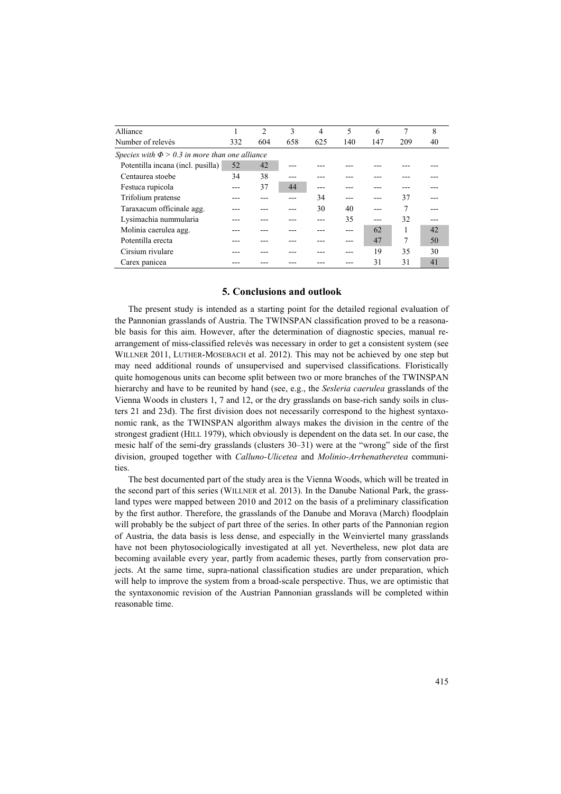| Alliance                                            |     | $\overline{2}$ | 3   | 4   | 5   | 6   |     | 8  |
|-----------------------------------------------------|-----|----------------|-----|-----|-----|-----|-----|----|
| Number of relevés                                   | 332 | 604            | 658 | 625 | 140 | 147 | 209 | 40 |
| Species with $\Phi > 0.3$ in more than one alliance |     |                |     |     |     |     |     |    |
| Potentilla incana (incl. pusilla)                   | 52  | 42             |     |     |     |     |     |    |
| Centaurea stoebe                                    | 34  | 38             |     |     |     |     |     |    |
| Festuca rupicola                                    |     | 37             | 44  |     |     |     |     |    |
| Trifolium pratense                                  |     |                |     | 34  |     |     | 37  |    |
| Taraxacum officinale agg.                           |     |                |     | 30  | 40  |     |     |    |
| Lysimachia nummularia                               |     |                |     |     | 35  |     | 32  |    |
| Molinia caerulea agg.                               |     |                |     |     |     | 62  |     | 42 |
| Potentilla erecta                                   |     |                |     |     |     | 47  | 7   | 50 |
| Cirsium rivulare                                    |     |                |     |     |     | 19  | 35  | 30 |
| Carex panicea                                       |     |                |     |     |     | 31  | 31  | 41 |

# **5. Conclusions and outlook**

The present study is intended as a starting point for the detailed regional evaluation of the Pannonian grasslands of Austria. The TWINSPAN classification proved to be a reasonable basis for this aim. However, after the determination of diagnostic species, manual rearrangement of miss-classified relevés was necessary in order to get a consistent system (see WILLNER 2011, LUTHER-MOSEBACH et al. 2012). This may not be achieved by one step but may need additional rounds of unsupervised and supervised classifications. Floristically quite homogenous units can become split between two or more branches of the TWINSPAN hierarchy and have to be reunited by hand (see, e.g., the *Sesleria caerulea* grasslands of the Vienna Woods in clusters 1, 7 and 12, or the dry grasslands on base-rich sandy soils in clusters 21 and 23d). The first division does not necessarily correspond to the highest syntaxonomic rank, as the TWINSPAN algorithm always makes the division in the centre of the strongest gradient (HILL 1979), which obviously is dependent on the data set. In our case, the mesic half of the semi-dry grasslands (clusters 30–31) were at the "wrong" side of the first division, grouped together with *Calluno-Ulicetea* and *Molinio-Arrhenatheretea* communities.

The best documented part of the study area is the Vienna Woods, which will be treated in the second part of this series (WILLNER et al. 2013). In the Danube National Park, the grassland types were mapped between 2010 and 2012 on the basis of a preliminary classification by the first author. Therefore, the grasslands of the Danube and Morava (March) floodplain will probably be the subject of part three of the series. In other parts of the Pannonian region of Austria, the data basis is less dense, and especially in the Weinviertel many grasslands have not been phytosociologically investigated at all yet. Nevertheless, new plot data are becoming available every year, partly from academic theses, partly from conservation projects. At the same time, supra-national classification studies are under preparation, which will help to improve the system from a broad-scale perspective. Thus, we are optimistic that the syntaxonomic revision of the Austrian Pannonian grasslands will be completed within reasonable time.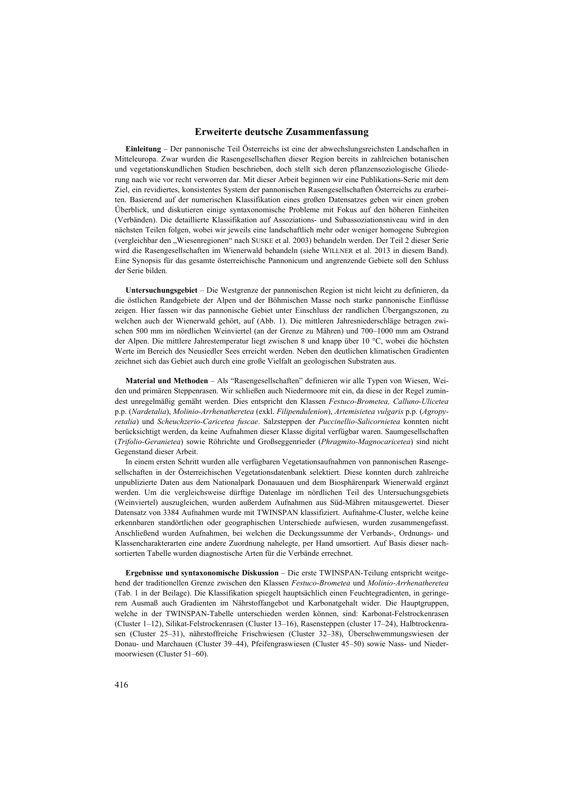## **Erweiterte deutsche Zusammenfassung**

**Einleitung** – Der pannonische Teil Österreichs ist eine der abwechslungsreichsten Landschaften in Mitteleuropa. Zwar wurden die Rasengesellschaften dieser Region bereits in zahlreichen botanischen und vegetationskundlichen Studien beschrieben, doch stellt sich deren pflanzensoziologische Gliederung nach wie vor recht verworren dar. Mit dieser Arbeit beginnen wir eine Publikations-Serie mit dem Ziel, ein revidiertes, konsistentes System der pannonischen Rasengesellschaften Österreichs zu erarbeiten. Basierend auf der numerischen Klassifikation eines großen Datensatzes geben wir einen groben Überblick, und diskutieren einige syntaxonomische Probleme mit Fokus auf den höheren Einheiten (Verbänden). Die detaillierte Klassifikation auf Assoziations- und Subassoziationsniveau wird in den nächsten Teilen folgen, wobei wir jeweils eine landschaftlich mehr oder weniger homogene Subregion (vergleichbar den "Wiesenregionen" nach SUSKE et al. 2003) behandeln werden. Der Teil 2 dieser Serie wird die Rasengesellschaften im Wienerwald behandeln (siehe WILLNER et al. 2013 in diesem Band). Eine Synopsis für das gesamte österreichische Pannonicum und angrenzende Gebiete soll den Schluss der Serie bilden.

**Untersuchungsgebiet** – Die Westgrenze der pannonischen Region ist nicht leicht zu definieren, da die östlichen Randgebiete der Alpen und der Böhmischen Masse noch starke pannonische Einflüsse zeigen. Hier fassen wir das pannonische Gebiet unter Einschluss der randlichen Übergangszonen, zu welchen auch der Wienerwald gehört, auf (Abb. 1). Die mittleren Jahresniederschläge betragen zwischen 500 mm im nördlichen Weinviertel (an der Grenze zu Mähren) und 700–1000 mm am Ostrand der Alpen. Die mittlere Jahrestemperatur liegt zwischen 8 und knapp über 10 °C, wobei die höchsten Werte im Bereich des Neusiedler Sees erreicht werden. Neben den deutlichen klimatischen Gradienten zeichnet sich das Gebiet auch durch eine große Vielfalt an geologischen Substraten aus.

**Material und Methoden** – Als "Rasengesellschaften" definieren wir alle Typen von Wiesen, Weiden und primären Steppenrasen. Wir schließen auch Niedermoore mit ein, da diese in der Regel zumindest unregelmäßig gemäht werden. Dies entspricht den Klassen *Festuco-Brometea, Calluno-Ulicetea* p.p. (*Nardetalia*), *Molinio-Arrhenatheretea* (exkl. *Filipendulenion*), *Artemisietea vulgaris* p.p. (*Agropyretalia*) und *Scheuchzerio-Caricetea fuscae*. Salzsteppen der *Puccinellio-Salicornietea* konnten nicht berücksichtigt werden, da keine Aufnahmen dieser Klasse digital verfügbar waren. Saumgesellschaften (*Trifolio-Geranietea*) sowie Röhrichte und Großseggenrieder (*Phragmito-Magnocaricetea*) sind nicht Gegenstand dieser Arbeit.

In einem ersten Schritt wurden alle verfügbaren Vegetationsaufnahmen von pannonischen Rasengesellschaften in der Österreichischen Vegetationsdatenbank selektiert. Diese konnten durch zahlreiche unpublizierte Daten aus dem Nationalpark Donauauen und dem Biosphärenpark Wienerwald ergänzt werden. Um die vergleichsweise dürftige Datenlage im nördlichen Teil des Untersuchungsgebiets (Weinviertel) auszugleichen, wurden außerdem Aufnahmen aus Süd-Mähren mitausgewertet. Dieser Datensatz von 3384 Aufnahmen wurde mit TWINSPAN klassifiziert. Aufnahme-Cluster, welche keine erkennbaren standörtlichen oder geographischen Unterschiede aufwiesen, wurden zusammengefasst. Anschließend wurden Aufnahmen, bei welchen die Deckungssumme der Verbands-, Ordnungs- und Klassencharakterarten eine andere Zuordnung nahelegte, per Hand umsortiert. Auf Basis dieser nachsortierten Tabelle wurden diagnostische Arten für die Verbände errechnet.

**Ergebnisse und syntaxonomische Diskussion** – Die erste TWINSPAN-Teilung entspricht weitgehend der traditionellen Grenze zwischen den Klassen *Festuco-Brometea* und *Molinio-Arrhenatheretea* (Tab. 1 in der Beilage). Die Klassifikation spiegelt hauptsächlich einen Feuchtegradienten, in geringerem Ausmaß auch Gradienten im Nährstoffangebot und Karbonatgehalt wider. Die Hauptgruppen, welche in der TWINSPAN-Tabelle unterschieden werden können, sind: Karbonat-Felstrockenrasen (Cluster 1–12), Silikat-Felstrockenrasen (Cluster 13–16), Rasensteppen (cluster 17–24), Halbtrockenrasen (Cluster 25–31), nährstoffreiche Frischwiesen (Cluster 32–38), Überschwemmungswiesen der Donau- und Marchauen (Cluster 39–44), Pfeifengraswiesen (Cluster 45–50) sowie Nass- und Niedermoorwiesen (Cluster 51–60).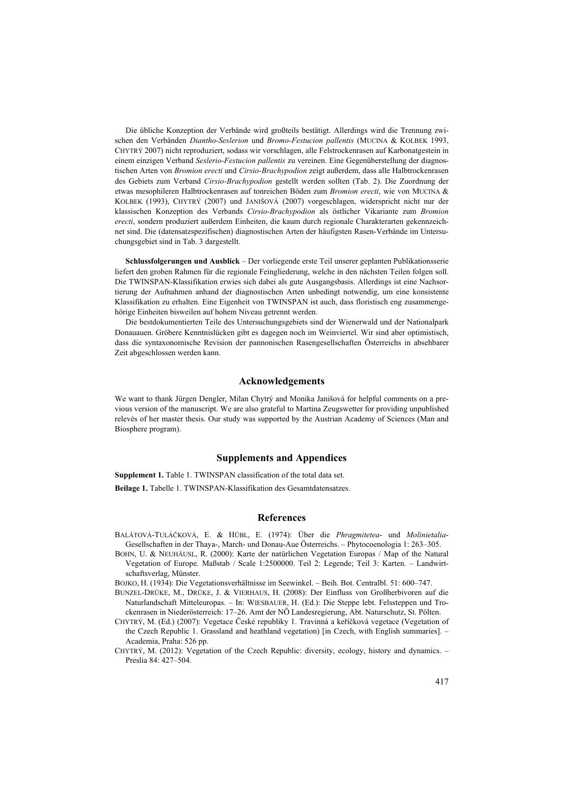Die übliche Konzeption der Verbände wird großteils bestätigt. Allerdings wird die Trennung zwischen den Verbänden *Diantho-Seslerion* und *Bromo-Festucion pallentis* (MUCINA & KOLBEK 1993, CHYTRÝ 2007) nicht reproduziert, sodass wir vorschlagen, alle Felstrockenrasen auf Karbonatgestein in einem einzigen Verband *Seslerio-Festucion pallentis* zu vereinen. Eine Gegenüberstellung der diagnostischen Arten von *Bromion erecti* und *Cirsio-Brachypodion* zeigt außerdem, dass alle Halbtrockenrasen des Gebiets zum Verband *Cirsio-Brachypodion* gestellt werden sollten (Tab. 2). Die Zuordnung der etwas mesophileren Halbtrockenrasen auf tonreichen Böden zum *Bromion erecti*, wie von MUCINA & KOLBEK (1993), CHYTRÝ (2007) und JANIŠOVÁ (2007) vorgeschlagen, widerspricht nicht nur der klassischen Konzeption des Verbands *Cirsio-Brachypodion* als östlicher Vikariante zum *Bromion erecti*, sondern produziert außerdem Einheiten, die kaum durch regionale Charakterarten gekennzeichnet sind. Die (datensatzspezifischen) diagnostischen Arten der häufigsten Rasen-Verbände im Untersuchungsgebiet sind in Tab. 3 dargestellt.

**Schlussfolgerungen und Ausblick** – Der vorliegende erste Teil unserer geplanten Publikationsserie liefert den groben Rahmen für die regionale Feingliederung, welche in den nächsten Teilen folgen soll. Die TWINSPAN-Klassifikation erwies sich dabei als gute Ausgangsbasis. Allerdings ist eine Nachsortierung der Aufnahmen anhand der diagnostischen Arten unbedingt notwendig, um eine konsistente Klassifikation zu erhalten. Eine Eigenheit von TWINSPAN ist auch, dass floristisch eng zusammengehörige Einheiten bisweilen auf hohem Niveau getrennt werden.

Die bestdokumentierten Teile des Untersuchungsgebiets sind der Wienerwald und der Nationalpark Donauauen. Gröbere Kenntnislücken gibt es dagegen noch im Weinviertel. Wir sind aber optimistisch, dass die syntaxonomische Revision der pannonischen Rasengesellschaften Österreichs in absehbarer Zeit abgeschlossen werden kann.

# **Acknowledgements**

We want to thank Jürgen Dengler, Milan Chytrý and Monika Janišová for helpful comments on a previous version of the manuscript. We are also grateful to Martina Zeugswetter for providing unpublished relevés of her master thesis. Our study was supported by the Austrian Academy of Sciences (Man and Biosphere program).

## **Supplements and Appendices**

**Supplement 1.** Table 1. TWINSPAN classification of the total data set. **Beilage 1.** Tabelle 1. TWINSPAN-Klassifikation des Gesamtdatensatzes.

#### **References**

- BALÁTOVÁ-TULÁČKOVÁ, E. & HÜBL, E. (1974): Über die *Phragmitetea* und *Molinietalia*-Gesellschaften in der Thaya-, March- und Donau-Aue Österreichs. – Phytocoenologia 1: 263–305.
- BOHN, U. & NEUHÄUSL, R. (2000): Karte der natürlichen Vegetation Europas / Map of the Natural Vegetation of Europe. Maßstab / Scale 1:2500000. Teil 2: Legende; Teil 3: Karten. – Landwirtschaftsverlag, Münster.

BOJKO, H. (1934): Die Vegetationsverhältnisse im Seewinkel. – Beih. Bot. Centralbl. 51: 600–747.

- BUNZEL-DRÜKE, M., DRÜKE, J. & VIERHAUS, H. (2008): Der Einfluss von Großherbivoren auf die Naturlandschaft Mitteleuropas. – In: WIESBAUER, H. (Ed.): Die Steppe lebt. Felssteppen und Trockenrasen in Niederösterreich: 17–26. Amt der NÖ Landesregierung, Abt. Naturschutz, St. Pölten.
- CHYTRÝ, M. (Ed.) (2007): Vegetace České republiky 1. Travinná a keříčková vegetace (Vegetation of the Czech Republic 1. Grassland and heathland vegetation) [in Czech, with English summaries]. – Academia, Praha: 526 pp.
- CHYTRÝ, M. (2012): Vegetation of the Czech Republic: diversity, ecology, history and dynamics. Preslia 84: 427–504.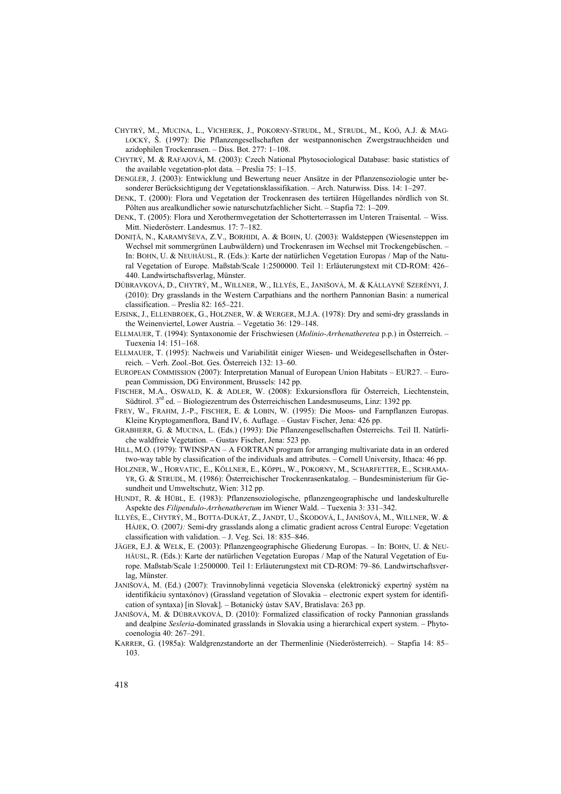- CHYTRÝ, M., MUCINA, L., VICHEREK, J., POKORNY-STRUDL, M., STRUDL, M., KOÓ, A.J. & MAG-LOCKÝ, Š. (1997): Die Pflanzengesellschaften der westpannonischen Zwergstrauchheiden und azidophilen Trockenrasen. – Diss. Bot. 277: 1–108.
- CHYTRÝ, M. & RAFAJOVÁ, M. (2003): Czech National Phytosociological Database: basic statistics of the available vegetation-plot data*. –* Preslia 75: 1–15.
- DENGLER, J. (2003): Entwicklung und Bewertung neuer Ansätze in der Pflanzensoziologie unter besonderer Berücksichtigung der Vegetationsklassifikation. – Arch. Naturwiss. Diss. 14: 1–297.
- DENK, T. (2000): Flora und Vegetation der Trockenrasen des tertiären Hügellandes nördlich von St. Pölten aus arealkundlicher sowie naturschutzfachlicher Sicht. – Stapfia 72: 1–209.
- DENK, T. (2005): Flora und Xerothermvegetation der Schotterterrassen im Unteren Traisental. Wiss. Mitt. Niederösterr. Landesmus. 17: 7–182.
- DONIŢĂ, N., KARAMYŠEVA, Z.V., BORHIDI, A. & BOHN, U. (2003): Waldsteppen (Wiesensteppen im Wechsel mit sommergrünen Laubwäldern) und Trockenrasen im Wechsel mit Trockengebüschen. – In: BOHN, U. & NEUHÄUSL, R. (Eds.): Karte der natürlichen Vegetation Europas / Map of the Natural Vegetation of Europe. Maßstab/Scale 1:2500000. Teil 1: Erläuterungstext mit CD-ROM: 426– 440. Landwirtschaftsverlag, Münster.
- DÚBRAVKOVÁ, D., CHYTRÝ, M., WILLNER, W., ILLYÉS, E., JANIŠOVÁ, M. & KÁLLAYNÉ SZERÉNYI, J. (2010): Dry grasslands in the Western Carpathians and the northern Pannonian Basin: a numerical classification. – Preslia 82: 165–221.
- EJSINK, J., ELLENBROEK, G., HOLZNER, W. & WERGER, M.J.A. (1978): Dry and semi-dry grasslands in the Weinenviertel, Lower Austria. – Vegetatio 36: 129–148.
- ELLMAUER, T. (1994): Syntaxonomie der Frischwiesen (*Molinio-Arrhenatheretea* p.p.) in Österreich. Tuexenia 14: 151–168.
- ELLMAUER, T. (1995): Nachweis und Variabilität einiger Wiesen- und Weidegesellschaften in Österreich. – Verh. Zool.-Bot. Ges. Österreich 132: 13–60.
- EUROPEAN COMMISSION (2007): Interpretation Manual of European Union Habitats EUR27. European Commission, DG Environment, Brussels: 142 pp.
- FISCHER, M.A., OSWALD, K. & ADLER, W. (2008): Exkursionsflora für Österreich, Liechtenstein, Südtirol. 3rd ed. – Biologiezentrum des Österreichischen Landesmuseums, Linz: 1392 pp.
- FREY, W., FRAHM, J.-P., FISCHER, E. & LOBIN, W. (1995): Die Moos- und Farnpflanzen Europas. Kleine Kryptogamenflora, Band IV, 6. Auflage. – Gustav Fischer, Jena: 426 pp.
- GRABHERR, G. & MUCINA, L. (Eds.) (1993): Die Pflanzengesellschaften Österreichs. Teil II. Natürliche waldfreie Vegetation. *–* Gustav Fischer, Jena: 523 pp.
- HILL, M.O. (1979): TWINSPAN A FORTRAN program for arranging multivariate data in an ordered two-way table by classification of the individuals and attributes. – Cornell University, Ithaca: 46 pp.
- HOLZNER, W., HORVATIC, E., KÖLLNER, E., KÖPPL, W., POKORNY, M., SCHARFETTER, E., SCHRAMA-YR, G. & STRUDL, M. (1986): Österreichischer Trockenrasenkatalog. – Bundesministerium für Gesundheit und Umweltschutz, Wien: 312 pp.
- HUNDT, R. & HÜBL, E. (1983): Pflanzensoziologische, pflanzengeographische und landeskulturelle Aspekte des *Filipendulo-Arrhenatheretum* im Wiener Wald. – Tuexenia 3: 331–342.
- ILLYÉS, E., CHYTRÝ, M., BOTTA-DUKÁT, Z., JANDT, U., ŠKODOVÁ, I., JANIŠOVÁ, M., WILLNER, W. & HÁJEK, O. (2007*):* Semi-dry grasslands along a climatic gradient across Central Europe: Vegetation classification with validation. *–* J. Veg. Sci. 18: 835*–*846.
- JÄGER, E.J. & WELK, E. (2003): Pflanzengeographische Gliederung Europas. In: BOHN, U. & NEU-HÄUSL, R. (Eds.): Karte der natürlichen Vegetation Europas / Map of the Natural Vegetation of Europe. Maßstab/Scale 1:2500000. Teil 1: Erläuterungstext mit CD-ROM: 79–86. Landwirtschaftsverlag, Münster.
- JANIŠOVÁ, M. (Ed.) (2007): Travinnobylinná vegetácia Slovenska (elektronický expertný systém na identifikáciu syntaxónov) (Grassland vegetation of Slovakia – electronic expert system for identification of syntaxa) [in Slovak]. – Botanický ústav SAV, Bratislava: 263 pp.
- JANIŠOVÁ, M. & DÚBRAVKOVÁ, D. (2010): Formalized classification of rocky Pannonian grasslands and dealpine *Sesleria*-dominated grasslands in Slovakia using a hierarchical expert system. – Phytocoenologia 40: 267–291.
- KARRER, G. (1985a): Waldgrenzstandorte an der Thermenlinie (Niederösterreich). Stapfia 14: 85– 103.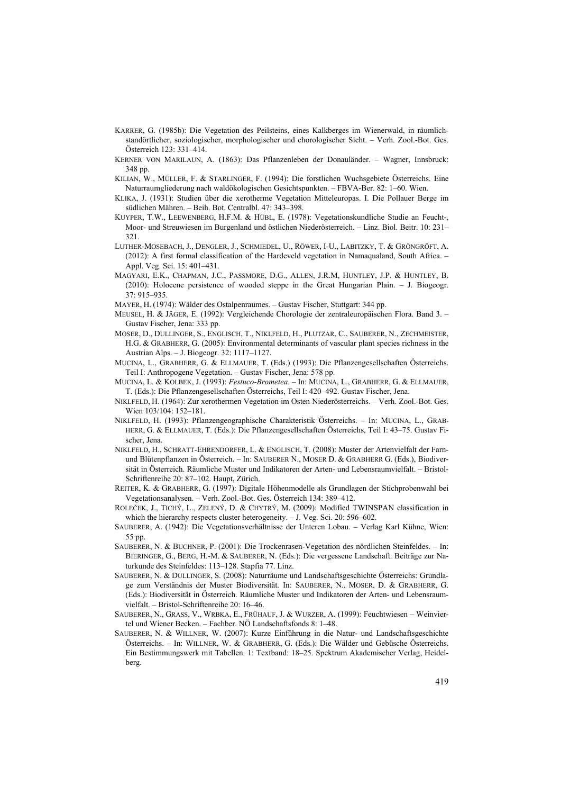- KARRER, G. (1985b): Die Vegetation des Peilsteins, eines Kalkberges im Wienerwald, in räumlichstandörtlicher, soziologischer, morphologischer und chorologischer Sicht. – Verh. Zool.-Bot. Ges. Österreich 123: 331–414.
- KERNER VON MARILAUN, A. (1863): Das Pflanzenleben der Donauländer. Wagner, Innsbruck: 348 pp.
- KILIAN, W., MÜLLER, F. & STARLINGER, F. (1994): Die forstlichen Wuchsgebiete Österreichs. Eine Naturraumgliederung nach waldökologischen Gesichtspunkten. – FBVA-Ber. 82: 1–60. Wien.
- KLIKA, J. (1931): Studien über die xerotherme Vegetation Mitteleuropas. I. Die Pollauer Berge im südlichen Mähren. – Beih. Bot. Centralbl. 47: 343–398.
- KUYPER, T.W., LEEWENBERG, H.F.M. & HÜBL, E. (1978): Vegetationskundliche Studie an Feucht-, Moor- und Streuwiesen im Burgenland und östlichen Niederösterreich. – Linz. Biol. Beitr. 10: 231– 321.
- LUTHER-MOSEBACH, J., DENGLER, J., SCHMIEDEL, U., RÖWER, I-U., LABITZKY, T. & GRÖNGRÖFT, A. (2012): A first formal classification of the Hardeveld vegetation in Namaqualand, South Africa. – Appl. Veg. Sci. 15: 401–431.
- MAGYARI, E.K., CHAPMAN, J.C., PASSMORE, D.G., ALLEN, J.R.M, HUNTLEY, J.P. & HUNTLEY, B. (2010): Holocene persistence of wooded steppe in the Great Hungarian Plain. – J. Biogeogr. 37: 915–935.
- MAYER, H. (1974): Wälder des Ostalpenraumes. Gustav Fischer, Stuttgart: 344 pp.
- MEUSEL, H. & JÄGER, E. (1992): Vergleichende Chorologie der zentraleuropäischen Flora. Band 3. Gustav Fischer, Jena: 333 pp.
- MOSER, D., DULLINGER, S., ENGLISCH, T., NIKLFELD, H., PLUTZAR, C., SAUBERER, N., ZECHMEISTER, H.G. & GRABHERR, G. (2005): Environmental determinants of vascular plant species richness in the Austrian Alps. – J. Biogeogr. 32: 1117–1127.
- MUCINA, L., GRABHERR, G. & ELLMAUER, T. (Eds.) (1993): Die Pflanzengesellschaften Österreichs. Teil I: Anthropogene Vegetation. – Gustav Fischer, Jena: 578 pp.
- MUCINA, L. & KOLBEK, J. (1993): *Festuco-Brometea*. In: MUCINA, L., GRABHERR, G. & ELLMAUER, T. (Eds.): Die Pflanzengesellschaften Österreichs, Teil I: 420–492. Gustav Fischer, Jena.
- NIKLFELD, H. (1964): Zur xerothermen Vegetation im Osten Niederösterreichs. Verh. Zool.-Bot. Ges. Wien  $103/104 \cdot 152 - 181$ .
- NIKLFELD, H. (1993): Pflanzengeographische Charakteristik Österreichs. In: MUCINA, L., GRAB-HERR, G. & ELLMAUER, T. (Eds.): Die Pflanzengesellschaften Österreichs, Teil I: 43–75. Gustav Fischer, Jena.
- NIKLFELD, H., SCHRATT-EHRENDORFER, L. & ENGLISCH, T. (2008): Muster der Artenvielfalt der Farnund Blütenpflanzen in Österreich. – In: SAUBERER N., MOSER D. & GRABHERR G. (Eds.), Biodiversität in Österreich. Räumliche Muster und Indikatoren der Arten- und Lebensraumvielfalt. – Bristol-Schriftenreihe 20: 87–102. Haupt, Zürich.
- REITER, K. & GRABHERR, G. (1997): Digitale Höhenmodelle als Grundlagen der Stichprobenwahl bei Vegetationsanalysen. – Verh. Zool.-Bot. Ges. Österreich 134: 389–412.
- ROLEČEK, J., TICHÝ, L., ZELENÝ, D. & CHYTRÝ, M. (2009): Modified TWINSPAN classification in which the hierarchy respects cluster heterogeneity. - J. Veg. Sci. 20: 596–602.
- SAUBERER, A. (1942): Die Vegetationsverhältnisse der Unteren Lobau. Verlag Karl Kühne, Wien: 55 pp.
- SAUBERER, N. & BUCHNER, P. (2001): Die Trockenrasen-Vegetation des nördlichen Steinfeldes. In: BIERINGER, G., BERG, H.-M. & SAUBERER, N. (Eds.): Die vergessene Landschaft. Beiträge zur Naturkunde des Steinfeldes: 113–128. Stapfia 77. Linz.
- SAUBERER, N. & DULLINGER, S. (2008): Naturräume und Landschaftsgeschichte Österreichs: Grundlage zum Verständnis der Muster Biodiversität. In: SAUBERER, N., MOSER, D. & GRABHERR, G. (Eds.): Biodiversität in Österreich. Räumliche Muster und Indikatoren der Arten- und Lebensraumvielfalt. – Bristol-Schriftenreihe 20: 16–46.
- SAUBERER, N., GRASS, V., WRBKA, E., FRÜHAUF, J. & WURZER, A. (1999): Feuchtwiesen Weinviertel und Wiener Becken. – Fachber. NÖ Landschaftsfonds 8: 1–48.
- SAUBERER, N. & WILLNER, W. (2007): Kurze Einführung in die Natur- und Landschaftsgeschichte Österreichs. – In: WILLNER, W. & GRABHERR, G. (Eds.): Die Wälder und Gebüsche Österreichs. Ein Bestimmungswerk mit Tabellen. 1: Textband: 18–25. Spektrum Akademischer Verlag, Heidelberg.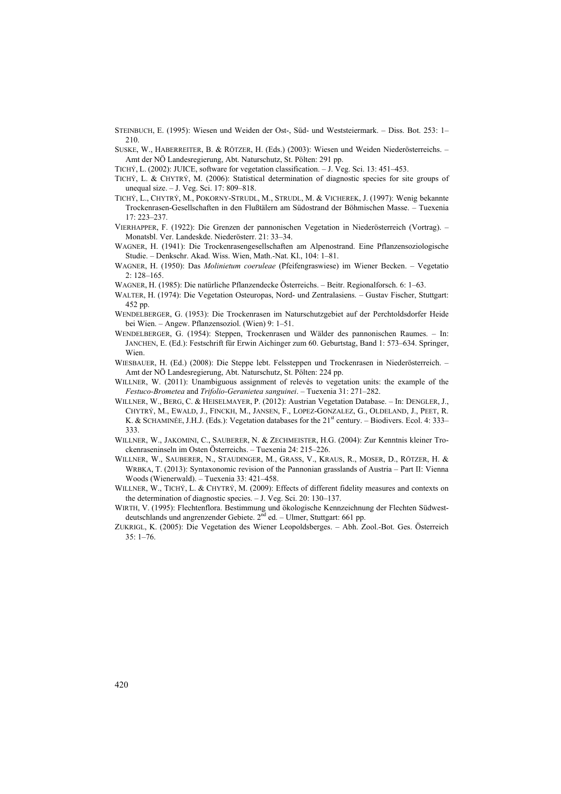- STEINBUCH, E. (1995): Wiesen und Weiden der Ost-, Süd- und Weststeiermark. Diss. Bot. 253: 1– 210.
- SUSKE, W., HABERREITER, B. & RÖTZER, H. (Eds.) (2003): Wiesen und Weiden Niederösterreichs. Amt der NÖ Landesregierung, Abt. Naturschutz, St. Pölten: 291 pp.
- TICHÝ, L. (2002): JUICE, software for vegetation classification. J. Veg. Sci. 13: 451–453.
- TICHÝ, L. & CHYTRÝ, M. (2006): Statistical determination of diagnostic species for site groups of unequal size. – J. Veg. Sci. 17: 809–818.
- TICHÝ, L., CHYTRÝ, M., POKORNY-STRUDL, M., STRUDL, M. & VICHEREK, J. (1997): Wenig bekannte Trockenrasen-Gesellschaften in den Flußtälern am Südostrand der Böhmischen Masse. – Tuexenia 17: 223–237.
- VIERHAPPER, F. (1922): Die Grenzen der pannonischen Vegetation in Niederösterreich (Vortrag). Monatsbl. Ver. Landeskde. Niederösterr. 21: 33–34.
- WAGNER, H. (1941): Die Trockenrasengesellschaften am Alpenostrand. Eine Pflanzensoziologische Studie. – Denkschr. Akad. Wiss. Wien, Math.-Nat. Kl., 104: 1–81.
- WAGNER, H. (1950): Das *Molinietum coeruleae* (Pfeifengraswiese) im Wiener Becken. Vegetatio 2: 128–165.
- WAGNER, H. (1985): Die natürliche Pflanzendecke Österreichs. Beitr. Regionalforsch. 6: 1–63.
- WALTER, H. (1974): Die Vegetation Osteuropas, Nord- und Zentralasiens. Gustav Fischer, Stuttgart: 452 pp.
- WENDELBERGER, G. (1953): Die Trockenrasen im Naturschutzgebiet auf der Perchtoldsdorfer Heide bei Wien. – Angew. Pflanzensoziol. (Wien) 9: 1–51.
- WENDELBERGER, G. (1954): Steppen, Trockenrasen und Wälder des pannonischen Raumes. In: JANCHEN, E. (Ed.): Festschrift für Erwin Aichinger zum 60. Geburtstag, Band 1: 573–634. Springer, **Wien**.
- WIESBAUER, H. (Ed.) (2008): Die Steppe lebt. Felssteppen und Trockenrasen in Niederösterreich. Amt der NÖ Landesregierung, Abt. Naturschutz, St. Pölten: 224 pp.
- WILLNER, W. (2011): Unambiguous assignment of relevés to vegetation units: the example of the *Festuco-Brometea* and *Trifolio-Geranietea sanguinei*. – Tuexenia 31: 271–282.
- WILLNER, W., BERG, C. & HEISELMAYER, P. (2012): Austrian Vegetation Database. In: DENGLER, J., CHYTRÝ, M., EWALD, J., FINCKH, M., JANSEN, F., LOPEZ-GONZALEZ, G., OLDELAND, J., PEET, R. K. & SCHAMINÉE, J.H.J. (Eds.): Vegetation databases for the 21<sup>st</sup> century. – Biodivers. Ecol. 4: 333– 333.
- WILLNER, W., JAKOMINI, C., SAUBERER, N. & ZECHMEISTER, H.G. (2004): Zur Kenntnis kleiner Trockenraseninseln im Osten Österreichs. – Tuexenia 24: 215–226.
- WILLNER, W., SAUBERER, N., STAUDINGER, M., GRASS, V., KRAUS, R., MOSER, D., RÖTZER, H. & WRBKA, T. (2013): Syntaxonomic revision of the Pannonian grasslands of Austria – Part II: Vienna Woods (Wienerwald). – Tuexenia 33: 421–458.
- WILLNER, W., TICHÝ, L. & CHYTRÝ, M. (2009): Effects of different fidelity measures and contexts on the determination of diagnostic species. – J. Veg. Sci. 20: 130–137.
- WIRTH, V. (1995): Flechtenflora. Bestimmung und ökologische Kennzeichnung der Flechten Südwestdeutschlands und angrenzender Gebiete. 2<sup>nd</sup> ed. - Ulmer, Stuttgart: 661 pp.
- ZUKRIGL, K. (2005): Die Vegetation des Wiener Leopoldsberges. Abh. Zool.-Bot. Ges. Österreich 35: 1–76.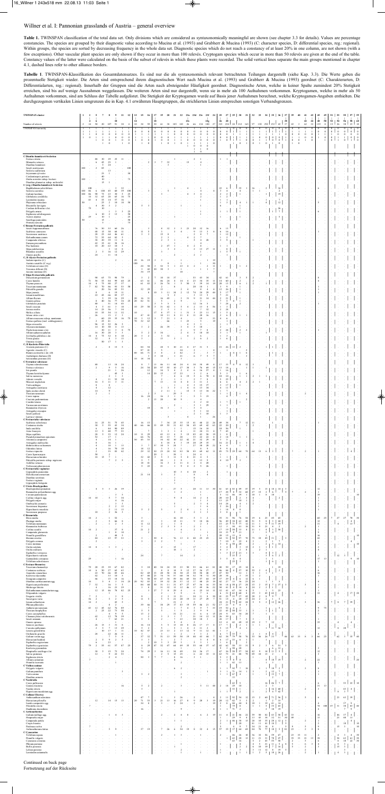# Willner et al. I: Pannonian grasslands of Austria – general overview

| <b>TWINSPAN</b> cluster                                                                                    |                              | $\overline{2}$<br>$\overline{4}$ | -6                                                                                   |                                          |                                                    | 10                                                           | 11                                            | 12                               | 13<br>14                                         | 15                                      | 16                                                 | 17<br>19<br>18                                                                           | 20                                  | 21                                     |                                                  | 22 23a<br>23c                              | 23d 23e                                    |                                                    | 23f<br>23g                                            | 24                                            | 25<br>26                                                                           | 28                                                                                       |                                           | 27 29 30 31                               | 32                                                                         | 33                                                |                                                                                 |                                                                     | 34 35 36 37<br>38                                        | 39                                     | 40                                           | 41<br>42                             | 43<br>44                                   | 45<br>48                                                 | 49<br>50                                  | 51 53<br>52                       | 54                        | 55 57 59<br>56                                               | 58 60                   |                 |
|------------------------------------------------------------------------------------------------------------|------------------------------|----------------------------------|--------------------------------------------------------------------------------------|------------------------------------------|----------------------------------------------------|--------------------------------------------------------------|-----------------------------------------------|----------------------------------|--------------------------------------------------|-----------------------------------------|----------------------------------------------------|------------------------------------------------------------------------------------------|-------------------------------------|----------------------------------------|--------------------------------------------------|--------------------------------------------|--------------------------------------------|----------------------------------------------------|-------------------------------------------------------|-----------------------------------------------|------------------------------------------------------------------------------------|------------------------------------------------------------------------------------------|-------------------------------------------|-------------------------------------------|----------------------------------------------------------------------------|---------------------------------------------------|---------------------------------------------------------------------------------|---------------------------------------------------------------------|----------------------------------------------------------|----------------------------------------|----------------------------------------------|--------------------------------------|--------------------------------------------|----------------------------------------------------------|-------------------------------------------|-----------------------------------|---------------------------|--------------------------------------------------------------|-------------------------|-----------------|
| Number of relevés<br><b>TWINSPAN</b> hierarchy                                                             | $\overline{2}$               | 14                               | 50<br>$\overline{1}$                                                                 | 20                                       | 107<br>-1                                          | 91<br>-1                                                     | 38<br>-1                                      | $\overline{4}$<br>-1             | 10<br>$\,0\,$                                    | 38<br>$\mathbf{0}$                      | 59<br>$\bf{0}$                                     | 61<br>30<br>$\bf{0}$<br>$\bf{0}$                                                         | $\mathbf{0}$                        | 38 185 183<br>$\overline{0}$           | $\bf{0}$                                         | 26<br>$\theta$                             | 66<br>$\mathbf{0}$                         | 134 100<br>$\bf{0}$                                | $\bf{0}$                                              | 27<br>$\theta$                                | 323<br>$\mathbf{0}$                                                                | 0 <sup>1</sup><br>$\mathbf{1}$                                                           |                                           | 234 24 212 165                            |                                                                            | 97 130 292 153 43 37                              |                                                                                 |                                                                     |                                                          | 43                                     | $\overline{\mathbf{3}}$                      | 62<br>$^{\circ}$<br>$\mathbf{1}$     | 32<br>-1                                   | 139<br>$\bf{0}$<br>$\,0\,$                               | 8<br>$\bf{0}$                             | 15<br>$\mathbf{0}$<br>$\bf{0}$    | 26<br>$\mathbf{0}$        | 30<br>$\bf{0}$<br>$\overline{0}$                             | 23<br>$\overline{0}$    | 10<br>$\theta$  |
|                                                                                                            | $\mathbf{1}$<br>$\mathbf{1}$ | -1<br>$\,0\,$                    | $\bf{0}$<br>-1                                                                       | $\mathbf{0}$<br>$\mathbf{1}$<br>$\bf{0}$ | $\bf{0}$<br>$\mathbf{1}$<br>$\bf{0}$               | $\mathbf{0}$<br>$\,0\,$<br>1                                 | $\bf{0}$<br>$\,0\,$<br>$\bf{0}$               | $\bf{0}$<br>$\bf{0}$<br>$\bf{0}$ | $\mathbf{1}$<br>$\overline{1}$<br>$\overline{1}$ | -1<br>$\overline{1}$<br>$\overline{0}$  | $\overline{1}$<br>$\bf{0}$                         | -1<br>-1<br>$\,0\,$<br>$\bf{0}$<br>$\,0\,$<br>$\mathbf{1}$                               | 1<br>$\overline{0}$<br>$\mathbf{0}$ | $\mathbf{0}$<br>$\overline{1}$         | $\mathbf{0}$                                     | $\mathbf{0}$<br>$\overline{1}$<br>$\Omega$ | $\bf{0}$<br>$\overline{1}$<br>$\theta$     | $\mathbf{0}$<br>1<br>$\theta$                      | $\bf{0}$<br>$\mathbf{1}$<br>$\bf{0}$                  | $\bf{0}$<br>$\mathbf{1}$<br>$\mathbf{0}$      | $\bf{0}$<br>$\bf{0}$<br>$\mathbf{1}$                                               | $\bf{0}$<br>$0 \mid 1$<br>$\,0\,$                                                        | -1                                        | -1<br>$\bf{0}$                            | 1<br>$\mathbf{0}$                                                          | $\bf{0}$                                          | $\bf{0}$<br>$\overline{1}$                                                      | $\bf{0}$<br>$\bf{0}$<br>$\bf{0}$<br>$\bf{0}$                        | $\bf{0}$<br>$\overline{1}$                               | $\bf{0}$<br>$\overline{1}$<br>$\bf{0}$ | $\boldsymbol{0}$<br>$\mathbf{1}$<br>$\bf{0}$ | $\bf{0}$<br>$\bf{0}$<br>$\mathbf{1}$ | $\overline{0}$<br>$\,$ 0<br>$\overline{0}$ | $\mathbf{1}$<br>$\mathbf{1}$                             | $\mathbf{1}$<br>$\,0\,$<br>$\overline{1}$ | 1<br>$\boldsymbol{0}$<br>$\bf{0}$ | $\overline{0}$<br>-1      | $\bf{0}$<br>$\mathbf{1}$<br>$\overline{0}$                   | $\bf{0}$<br>$0 \quad 0$ | $\bf{0}$        |
|                                                                                                            |                              |                                  |                                                                                      | $\overline{1}$                           | $\bf{0}$                                           |                                                              |                                               | $\bf{0}$                         |                                                  | 1                                       | $\bf{0}$                                           | 1                                                                                        | $\bf{0}$                            |                                        | $\overline{0}$                                   |                                            | $\Omega$                                   | 1<br>$\mathbf{0}$                                  | -1<br>$\bf{0}$<br>$\mathbf{0}$                        | $\bf{0}$                                      |                                                                                    | 1                                                                                        | $\bf{0}$                                  | $\overline{1}$                            | $\bf{0}$                                                                   | $\mathbf{1}$                                      | $\bf{0}$<br>$\overline{1}$                                                      | $\bf{0}$                                                            |                                                          | 1                                      | $\mathbf{0}$                                 |                                      |                                            |                                                          |                                           |                                   |                           |                                                              |                         |                 |
| C Diantho lumnitzeri-Seslerion<br>Festuca stricta<br>Minuartia setacea                                     |                              |                                  | 88<br>6                                                                              | 30<br>45                                 | 29<br>25                                           | 25<br>1                                                      | 11                                            |                                  |                                                  |                                         | $\overline{2}$                                     | $\overline{\mathbf{3}}$                                                                  | 32                                  |                                        |                                                  |                                            | $\overline{2}$                             |                                                    |                                                       |                                               |                                                                                    |                                                                                          |                                           |                                           |                                                                            |                                                   |                                                                                 |                                                                     |                                                          |                                        |                                              |                                      |                                            |                                                          |                                           |                                   |                           |                                                              |                         |                 |
| Dianthus lumnitzeri<br>Seseli austriacum<br>Sesleria sadleriana                                            | 100                          |                                  | $\stackrel{\cdot}{2}$                                                                | 5<br>85                                  | 24<br>13                                           |                                                              |                                               | 100                              |                                                  |                                         |                                                    |                                                                                          | 3                                   |                                        |                                                  |                                            |                                            |                                                    |                                                       |                                               |                                                                                    |                                                                                          |                                           |                                           |                                                                            |                                                   |                                                                                 |                                                                     |                                                          |                                        |                                              |                                      |                                            |                                                          |                                           |                                   |                           |                                                              |                         |                 |
| Erysimum sylvestre<br>Cardaminopsis petraea<br>Draba aizoides subsp. beckeri                               | 100                          |                                  |                                                                                      | 25<br>40<br>10                           | 1                                                  |                                                              |                                               | 50<br>75                         |                                                  |                                         |                                                    |                                                                                          |                                     |                                        |                                                  |                                            |                                            |                                                    |                                                       |                                               |                                                                                    |                                                                                          |                                           |                                           |                                                                            |                                                   |                                                                                 |                                                                     |                                                          |                                        |                                              |                                      |                                            |                                                          |                                           |                                   |                           |                                                              |                         |                 |
| Dianthus plumarius subsp. neilreichii<br>C (reg.) Diantho lumnitzeri-Seslerion<br>Buphthalmum salicifolium |                              | 100                              |                                                                                      | 15                                       |                                                    | $\overline{\mathbf{3}}$                                      | 32                                            |                                  |                                                  |                                         |                                                    |                                                                                          |                                     |                                        |                                                  |                                            |                                            |                                                    |                                                       |                                               | $22\,$                                                                             | 6                                                                                        | 35                                        |                                           | 16                                                                         |                                                   | 2                                                                               |                                                                     | 16                                                       |                                        |                                              |                                      |                                            | 6                                                        |                                           |                                   |                           |                                                              |                         |                 |
| Sesleria caerulea<br>Galium lucidum<br>Globularia cordifolia                                               | 100<br>100                   | 86<br>86<br>14                   | 6<br>$\boldsymbol{90}$<br>32                                                         | 100<br>75<br>65                          | 45<br>$23\,$<br>28                                 | 60<br>30<br>65                                               | 39<br>$\mathfrak{s}$<br>16                    | 100<br>25<br>75                  |                                                  |                                         | $\overline{\mathbf{3}}$                            |                                                                                          |                                     |                                        |                                                  |                                            |                                            | $\Delta$                                           |                                                       | $\overline{4}$                                | $\mathbf{3}$<br>$\overline{a}$<br>$\overline{2}$<br>$\overline{2}$<br>$\mathbf{1}$ | $\overline{4}$                                                                           |                                           |                                           | 1                                                                          |                                                   |                                                                                 |                                                                     | 19                                                       |                                        |                                              |                                      |                                            |                                                          |                                           |                                   |                           |                                                              |                         |                 |
| Leontodon incanus<br>Phyteuma orbiculare<br>Biscutella laevigata                                           | 50                           | 43                               | $\overline{4}$<br>$\overline{4}$                                                     | 55<br>$25\,$<br>30                       | 14<br>$\overline{2}$<br>$\overline{\mathbf{3}}$    | 57<br>$10\,$<br>$\overline{2}$                               | 16<br>18                                      | 50                               |                                                  | 5                                       | $\overline{\mathbf{3}}$                            |                                                                                          |                                     |                                        |                                                  |                                            |                                            |                                                    |                                                       |                                               | 3<br>6                                                                             |                                                                                          | $\Delta$                                  |                                           |                                                                            |                                                   |                                                                                 | 12                                                                  |                                                          |                                        |                                              |                                      |                                            | 5                                                        |                                           |                                   |                           |                                                              |                         |                 |
| Carduus defloratus s.lat.<br>Polygala amara<br>Euphrasia salisburgensis                                    |                              | 79                               | 6                                                                                    | 10<br>10                                 | $\mathfrak{D}$                                     | 3<br>13                                                      | 3                                             | 25<br>50                         |                                                  |                                         |                                                    |                                                                                          |                                     |                                        |                                                  |                                            |                                            |                                                    |                                                       |                                               |                                                                                    | $\mathbf{1}$                                                                             |                                           |                                           |                                                                            |                                                   |                                                                                 | $\frac{1}{1}$ $\frac{26}{7}$                                        |                                                          |                                        |                                              |                                      |                                            | 6                                                        |                                           |                                   |                           |                                                              |                         |                 |
| Acinos alpinus<br>Saxifraga paniculata<br>Primula auricula                                                 | 50                           | 29                               |                                                                                      | 10<br>15<br>5                            |                                                    |                                                              |                                               | 25<br>50<br>75                   |                                                  |                                         |                                                    |                                                                                          |                                     |                                        |                                                  |                                            |                                            |                                                    |                                                       |                                               |                                                                                    |                                                                                          |                                           |                                           |                                                                            |                                                   |                                                                                 | $\vert$ 5                                                           |                                                          |                                        |                                              |                                      |                                            |                                                          |                                           |                                   |                           |                                                              |                         |                 |
| <b>C</b> Bromo-Festucion pallentis<br>Seseli hippomarathrum<br>Scabiosa canescens                          |                              |                                  | 76<br>48                                                                             | 50<br>15                                 | 53<br>30                                           | 60<br>68                                                     | 26<br>11                                      |                                  |                                                  | 11                                      | 3<br>5                                             | $\mathbf{3}$                                                                             | 32                                  |                                        |                                                  | 23                                         | 20<br>9                                    | 32<br>13                                           | 16<br>$\overline{\mathbf{3}}$                         | $\overline{4}$                                | 6<br>6                                                                             | 13<br>16                                                                                 |                                           |                                           |                                                                            |                                                   |                                                                                 |                                                                     |                                                          |                                        |                                              |                                      |                                            |                                                          |                                           |                                   |                           |                                                              |                         |                 |
| Scorzonera austriaca<br>Helianthemum canum<br>Campanula sibirica                                           |                              |                                  | 28<br>$72\,$<br>38                                                                   | 25<br>$\substack{55 \\ 20}$              | 64<br>64<br>39                                     | 46<br>82<br>11                                               | 61<br>-5<br>$\mathbf{8}$                      |                                  |                                                  | 3                                       | $\overline{\mathbf{3}}$                            | 15<br>$\overline{c}$<br>$\overline{2}$                                                   | 3<br>$\mathbf{3}$                   |                                        |                                                  |                                            | $\overline{2}$<br>$\overline{2}$<br>-5     | 8<br>7<br>$\overline{4}$                           | $7\phantom{.0}$<br>$\sqrt{28}$                        |                                               | -1<br>3                                                                            | 12<br>$\overline{2}$<br>$\overline{9}$                                                   |                                           |                                           |                                                                            |                                                   |                                                                                 |                                                                     |                                                          |                                        |                                              |                                      |                                            |                                                          |                                           |                                   |                           |                                                              |                         |                 |
| Fumana procumbens<br>Poa badensis<br>Stipa pulcherrima                                                     |                              |                                  | 42<br>10                                                                             | 35<br>20                                 | 61<br>63<br>3                                      | 38<br>10<br>$12\,$                                           | 16<br>$\overline{\mathbf{3}}$<br>8            |                                  |                                                  |                                         |                                                    | $\overline{2}$                                                                           | 47<br>3                             | 2                                      |                                                  |                                            | $\overline{2}$<br>$\overline{c}$           | $\overline{4}$<br>8<br>13                          | 27                                                    | 11                                            |                                                                                    | 8                                                                                        |                                           |                                           |                                                                            |                                                   |                                                                                 |                                                                     |                                                          |                                        |                                              |                                      |                                            |                                                          |                                           |                                   |                           |                                                              |                         |                 |
| Rhamnus saxatilis<br>Ononis pusilla<br>C, D Alysso-Festucion pallentis                                     |                              |                                  | $\overline{2}$<br>24                                                                 | 5<br>n.                                  | 16<br>11                                           | 12<br>14                                                     | 29                                            |                                  |                                                  |                                         |                                                    | 3                                                                                        |                                     |                                        |                                                  |                                            | $\overline{\mathbf{c}}$                    | $\mathfrak{D}$                                     |                                                       |                                               | $\mathbf{1}$                                                                       | $\overline{\phantom{0}}$                                                                 |                                           |                                           |                                                                            |                                                   |                                                                                 |                                                                     |                                                          |                                        |                                              |                                      |                                            |                                                          |                                           |                                   |                           |                                                              |                         |                 |
| Sedum rupestre (C)<br>Aurinia saxatilis (C reg.)<br>Trifolium arvense (D)                                  |                              |                                  |                                                                                      |                                          |                                                    |                                                              |                                               |                                  | 20<br>100                                        | 16<br>$24\,$                            | 19<br>58                                           | 3<br>3<br>52<br>$\overline{\mathbf{3}}$                                                  | 5                                   | -1                                     | 23                                               | $\overline{4}$                             | $\overline{2}$                             |                                                    | $\overline{2}$                                        | 19<br>30<br>$11\,$                            |                                                                                    |                                                                                          |                                           | $\overline{c}$                            |                                                                            |                                                   |                                                                                 |                                                                     |                                                          |                                        |                                              |                                      |                                            |                                                          |                                           |                                   |                           |                                                              |                         |                 |
| Veronica dillenii (D)<br>Jasione montana (D)<br>C Stipo-Festucetalia pallentis                             |                              |                                  |                                                                                      |                                          |                                                    |                                                              |                                               |                                  | $\sim$<br>$\sim$                                 | $\overline{\mathbf{3}}$<br>34           | $42\,$<br>19                                       | 20<br>30<br>$\sim$                                                                       | $\overline{\mathbf{3}}$             |                                        | -1<br>10                                         |                                            |                                            |                                                    | $\mathbf{1}$                                          | $7\phantom{.0}$<br>-7                         |                                                                                    |                                                                                          |                                           |                                           |                                                                            |                                                   |                                                                                 |                                                                     |                                                          |                                        |                                              |                                      |                                            |                                                          |                                           |                                   |                           |                                                              |                         |                 |
| Dorycnium germanicum<br>Carex humilis<br>Thymus praecox                                                    |                              | $\overline{71}$<br>14            | $\begin{array}{c} 90 \\ 58 \end{array}$<br>$\overline{4}$                            | 65<br>55<br>75                           | 75<br>84<br>$88\,$                                 | 98<br>99<br>27                                               | $\begin{array}{c} 79 \\ 68 \end{array}$<br>37 | 25                               |                                                  | $\frac{3}{63}$<br>61                    | 2<br>61<br>83                                      | $7\phantom{.0}$<br>10<br>46<br>$\overline{\mathbf{3}}$<br>26                             | 18<br>24<br>74                      | 37<br>$\overline{4}$<br>$\overline{1}$ | 14<br>5                                          | $\overline{4}$<br>50                       | $\frac{53}{23}$<br>$\overline{\mathbf{3}}$ | 43<br>34<br>39                                     | $\frac{34}{35}$<br>14                                 | 11<br>19                                      | $42\,$<br>14<br>$20\,$                                                             | 61<br>60<br>13                                                                           |                                           | $\sim$<br>$\overline{1}$                  | 2<br>$\overline{2}$<br>$\sqrt{2}$                                          |                                                   |                                                                                 |                                                                     |                                                          |                                        |                                              |                                      |                                            | 8<br>$\overline{4}$                                      |                                           |                                   |                           |                                                              |                         |                 |
| Teucrium montanum<br>Pulsatilla grandis<br>Stipa joannis                                                   |                              | 7                                | $82\,$<br>8                                                                          | 70<br>20                                 | 86<br>36<br>6                                      | 93<br>85<br>19                                               | 53<br>53<br>11                                | 50                               | $\cdot$                                          | 32                                      | 29<br>8                                            | 2<br>13<br>10<br>3                                                                       | 11                                  | 34                                     | $\overline{2}$<br>$\overline{2}$                 | $\overline{4}$<br>$12\,$                   | 20<br>74                                   | 18<br>8<br>24                                      | $\overline{1}$<br>$\overline{4}$<br>29                | $\overline{4}$<br>44                          | 3<br>12<br>$\mathfrak{s}$                                                          | 9<br>$\frac{26}{17}$                                                                     |                                           |                                           |                                                                            |                                                   |                                                                                 |                                                                     |                                                          |                                        |                                              |                                      |                                            |                                                          |                                           |                                   |                           |                                                              |                         |                 |
| Linum tenuifolium<br>Allium flavum<br>Genista pilosa                                                       |                              |                                  | $22\,$<br>$\frac{1}{8}$                                                              | 45<br>5<br>40                            | 66<br>39<br>36                                     | 85<br>16<br>77                                               | 37<br>29<br>34                                | 25                               | $\substack{20\\20}$                              | 16<br>82                                | 31<br>51                                           | 16<br>5                                                                                  | -5<br>45                            | $\overline{2}$                         |                                                  | 31                                         | 3<br>9                                     | 13<br>31<br>3                                      | 5<br>14                                               | 44                                            | 21<br>$\tau$<br>$\overline{2}$<br>5<br>7                                           | 21                                                                                       |                                           |                                           |                                                                            |                                                   |                                                                                 |                                                                     |                                                          |                                        |                                              |                                      |                                            |                                                          |                                           |                                   |                           |                                                              |                         |                 |
| Globularia punctata<br>Seseli osseum<br>Jurinea mollis                                                     |                              |                                  | 80<br>$\overline{4}$<br>14                                                           | 5                                        | 51<br>61<br>56                                     | 14<br>$\overline{\mathbf{3}}$<br>7                           | 45<br>18<br>34                                |                                  | $10\,$                                           | 29                                      | 58                                                 | 5<br>3<br>$\overline{\mathbf{3}}$<br>31<br>$\overline{2}$                                | -5<br>42<br>3                       | 5                                      |                                                  | $\overline{4}$                             | 12<br>$\overline{2}$<br>5                  | 16<br>13<br>7                                      | 5<br>$\overline{4}$                                   | 56                                            | 7<br>$\mathbf{1}$<br>2                                                             | 24<br>$\overline{\mathbf{3}}$<br>24                                                      | -2                                        |                                           |                                                                            |                                                   |                                                                                 |                                                                     |                                                          |                                        |                                              |                                      |                                            |                                                          |                                           |                                   |                           |                                                              |                         |                 |
| Melica ciliata<br>Silene otites s.lat.<br>Allium senescens subsp. montanum                                 |                              |                                  | $10\,$<br>26                                                                         | $\frac{25}{55}$<br>$\frac{1}{60}$        | 54<br>15<br>29                                     | 11<br>$\overline{2}$<br>35                                   | 32<br>$\overline{\mathbf{3}}$<br>$16\,$       | 75                               | 10<br>10                                         | 47<br>$\overline{\mathbf{3}}$           | 41<br>12                                           | 17<br>$\mathbf{\hat{z}}$<br>10<br>3<br>$7\phantom{.0}$                                   | 37<br>11<br>21                      |                                        | 11                                               | 31<br>$\mathbf{8}$                         | $\overline{\mathbf{3}}$<br>11              | 23<br>20<br>19                                     | $\begin{array}{c} 32 \\ 11 \end{array}$<br>16         | 15<br>33                                      | $\mathbf{1}$<br>5<br>$\overline{2}$<br>$\overline{4}$                              | 6<br>6                                                                                   |                                           |                                           |                                                                            |                                                   |                                                                                 |                                                                     |                                                          |                                        |                                              |                                      |                                            |                                                          |                                           |                                   |                           |                                                              |                         |                 |
| Festuca pallens (incl. csikhegyensis)<br>Stipa eriocaulis<br>Alyssum montanum                              |                              |                                  | $\stackrel{\cdot}{2}$<br>96<br>14                                                    | $^{25}_{\ 15}$<br>$10\,$                 | 41<br>52<br>50                                     | 26<br>$\overline{4}$                                         | -5<br>13                                      |                                  | 70                                               | 32<br>3                                 | 63<br>$\overline{2}$                               | 26                                                                                       | 66<br>39                            |                                        |                                                  | 23<br>-4<br>$\overline{4}$                 | 3<br>3                                     | $\sim$<br>$\mathbf{3}$<br>10                       |                                                       | 19                                            | $\overline{\mathbf{c}}$                                                            |                                                                                          |                                           |                                           |                                                                            |                                                   |                                                                                 |                                                                     |                                                          |                                        |                                              |                                      |                                            |                                                          |                                           |                                   |                           |                                                              |                         |                 |
| Thalictrum minus s.lat.<br>Allium sphaerocephalon<br>Jovibarba globifera s.lat.                            |                              | 14                               | $16$<br>$\overline{4}$                                                               | $30\,$<br>30<br>75                       | 11<br>28<br>32                                     | $\overline{\mathbf{3}}$<br>$\overline{\mathbf{3}}$<br>$\,$ 8 | 8<br>$\overline{\mathbf{3}}$<br>18            | 75                               | $\stackrel{\cdot}{20}$                           | $\dot{5}$<br>$\overline{\mathbf{3}}$    | $\frac{1}{2}$<br>$\sqrt{2}$                        | $\frac{1}{3}$<br>34<br>$\mathbf{3}$<br>$\sim$                                            | 32                                  |                                        | $\overline{2}$                                   | $\overline{4}$<br>$\overline{4}$           | 9<br>3                                     | $\overline{7}$<br>10<br>6                          | -8<br>10                                              |                                               | $\overline{2}$<br>3<br>3                                                           | 24                                                                                       |                                           | $\overline{c}$                            |                                                                            |                                                   |                                                                                 |                                                                     |                                                          |                                        |                                              |                                      |                                            |                                                          |                                           |                                   |                           |                                                              |                         |                 |
| Trinia glauca<br>Onosma visianii<br>C, D Koelerio-Phleetalia                                               |                              |                                  | 32                                                                                   | 50                                       | $\,$ 8 $\,$<br>17                                  | $\overline{\mathbf{3}}$<br>$\overline{1}$                    | 13<br>$\overline{\mathbf{3}}$                 | $\sim$                           | $\mathcal{L}$                                    | $\overline{\mathbf{3}}$                 | $\sim$                                             | 13<br>$\mathcal{L}$                                                                      |                                     | 3                                      |                                                  |                                            | $\overline{c}$                             | 6                                                  | $\overline{c}$                                        |                                               | 1                                                                                  | 6                                                                                        |                                           |                                           |                                                                            |                                                   |                                                                                 |                                                                     |                                                          |                                        |                                              |                                      |                                            |                                                          |                                           |                                   |                           |                                                              |                         |                 |
| Avenula pratensis (C)<br>Agrostis vinealis (C)<br>Rumex acetosella s.lat. (D)                              |                              |                                  | $\overline{c}$                                                                       |                                          | $\,$ 8 $\,$                                        | 15                                                           | $\sim$                                        |                                  | 80                                               | 84<br>87<br>66                          | 54<br>41<br>71                                     | $\sqrt{28}$<br>-5<br>$\overline{\mathbf{3}}$<br>8                                        | 5                                   | 10 <sup>10</sup><br>$\overline{2}$     | 21<br>24<br>42                                   | $\overline{4}$                             | 27<br>$\mathcal{P}$                        | 31                                                 | $\sim$                                                | $\overline{7}$                                | 15                                                                                 | 13<br>26<br>$\overline{4}$                                                               |                                           |                                           |                                                                            |                                                   |                                                                                 |                                                                     |                                                          |                                        |                                              |                                      |                                            |                                                          |                                           |                                   |                           |                                                              |                         |                 |
| Arabidopsis thaliana (D)<br>Scleranthus perennis (D)<br>C Festucion valesiacae                             |                              |                                  |                                                                                      |                                          |                                                    |                                                              |                                               |                                  | 10                                               | 18                                      | $\overline{\mathbf{3}}$<br>34                      | $\overline{\mathbf{3}}$<br>18<br>$\mathcal{L}$                                           | 3                                   | $\mathbf{1}$                           | 21<br>3                                          |                                            | 6                                          | $\overline{7}$                                     | $\sim$                                                | $\overline{7}$<br>7                           |                                                                                    |                                                                                          |                                           |                                           |                                                                            |                                                   |                                                                                 |                                                                     |                                                          |                                        |                                              |                                      |                                            |                                                          |                                           |                                   |                           |                                                              |                         |                 |
| Thymus odoratissimus<br>Festuca valesiaca<br>Iris pumila                                                   |                              |                                  | 80<br>2                                                                              |                                          | 13<br>$\mathbf{Q}$<br>21                           | 18<br>5<br>$\mathbf{1}$                                      | 24<br>16<br>26                                |                                  |                                                  | 8<br>24                                 | $\overline{7}$<br>54<br>12                         | $13\,$<br>46<br>20<br>97<br>34                                                           | 11<br>55<br>5                       | 44<br>$10\,$<br>$\overline{4}$         | 24<br>27<br>$\overline{2}$                       | $\overline{4}$<br>38<br>$\overline{4}$     | 38<br>$\sim$<br>6                          | 38<br>$76\,$<br>16                                 | 49<br>69<br>57                                        | $\overline{4}$<br>15<br>$\overline{4}$        | 17<br>13<br>$\mathbf{1}$                                                           | 33<br>$\overline{4}$<br>18<br>16                                                         |                                           | 12                                        |                                                                            |                                                   |                                                                                 |                                                                     |                                                          |                                        |                                              |                                      |                                            |                                                          |                                           |                                   |                           |                                                              |                         |                 |
| Thymus kosteleckyanus<br>Salvia nemorosa<br>Adonis vernalis                                                |                              |                                  | $\overline{4}$                                                                       |                                          | 2<br>11                                            | 45<br>-1<br>52                                               | $\overline{\mathbf{3}}$<br>-3<br>18           |                                  |                                                  |                                         | 14                                                 | $\stackrel{\cdot}{20}$<br>15<br>-7<br>$\overline{2}$<br>$\frac{1}{7}$                    |                                     | 17<br>4                                | 23<br>6                                          | 19                                         | $\overline{\phantom{0}}$<br>$\mathcal{P}$  | $\overline{2}$<br>6<br>7                           | 6<br>$70\,$<br>8                                      | $\overline{4}$                                | 5<br>$10\,$<br>5                                                                   | $\overline{\mathbf{3}}$<br>10<br>25                                                      |                                           |                                           | $\overline{2}$                                                             |                                                   |                                                                                 |                                                                     |                                                          |                                        |                                              |                                      |                                            |                                                          |                                           |                                   |                           |                                                              |                         |                 |
| Muscari neglectum<br>Viola ambigua<br>Astragalus austriacus                                                |                              |                                  | 16<br>-8<br>$\overline{4}$                                                           | 5                                        | 11<br>8<br>12                                      | $\overline{\mathbf{3}}$                                      | 11                                            |                                  |                                                  |                                         |                                                    | 13<br>$\mathbf{3}$                                                                       |                                     | 11                                     |                                                  |                                            | $\overline{2}$<br>$\overline{3}$<br>6      | 11<br>15<br>13                                     | $rac{2}{37}$<br>34                                    |                                               | 6<br>3<br>$\overline{4}$                                                           | 6<br>17<br>11                                                                            |                                           | $\overline{2}$                            | $\stackrel{\cdot}{2}$                                                      |                                                   |                                                                                 |                                                                     |                                                          |                                        |                                              |                                      |                                            |                                                          |                                           |                                   |                           |                                                              |                         |                 |
| Inula oculus-christi<br>Thesium ramosum<br>Carex supina                                                    |                              |                                  | 14<br>$\mathcal{L}$                                                                  |                                          | 9                                                  |                                                              |                                               |                                  |                                                  | 16                                      | $\overline{c}$<br>24                               | $\overline{c}$<br>$\mathbf{3}$<br>16<br>$\dot{13}$                                       | 11<br>3                             | 29<br>$\overline{1}$                   |                                                  | 15                                         | 5<br>5                                     | 13<br>$\mathfrak{D}$<br>5                          | 34<br>19                                              | $22\,$                                        | 1<br>1                                                                             |                                                                                          |                                           | $\overline{4}$                            |                                                                            |                                                   |                                                                                 |                                                                     |                                                          |                                        |                                              |                                      |                                            |                                                          |                                           |                                   |                           |                                                              |                         |                 |
| Cruciata pedemontana<br>Crambe tataria<br>Taraxacum serotinum                                              |                              |                                  |                                                                                      |                                          |                                                    |                                                              |                                               |                                  |                                                  |                                         | $\overline{2}$                                     | 20                                                                                       |                                     | 10                                     |                                                  |                                            | 3                                          | $\overline{4}$<br>$\overline{2}$<br>$\overline{1}$ | 32<br>29                                              |                                               |                                                                                    |                                                                                          |                                           |                                           |                                                                            |                                                   |                                                                                 |                                                                     |                                                          |                                        |                                              |                                      |                                            |                                                          |                                           |                                   |                           |                                                              |                         |                 |
| Ranunculus illyricus<br>Astragalus exscapus<br>Seseli pallasii                                             |                              |                                  |                                                                                      |                                          |                                                    |                                                              |                                               |                                  |                                                  |                                         | 10                                                 | 16                                                                                       |                                     |                                        |                                                  |                                            | 3<br>5<br>$\overline{a}$                   | $\overline{4}$<br>1<br>-1                          | 14<br>$10\,$                                          | $\overline{26}$                               | $\mathcal{R}$                                                                      |                                                                                          |                                           |                                           |                                                                            |                                                   |                                                                                 |                                                                     |                                                          |                                        |                                              |                                      |                                            |                                                          |                                           |                                   |                           |                                                              |                         |                 |
| Lactuca viminea<br>C Festucetalia valesiacae<br>Scabiosa ochroleuca<br>Centaurea stoebe                    |                              |                                  | 16<br>30                                                                             | 25<br>5                                  | 51<br>55                                           | $75\,$<br>43                                                 | 45<br>34                                      |                                  | 40                                               | 16<br>66                                | 15                                                 | -7<br>33<br>49                                                                           | 34<br>55                            | 25<br>31                               | 35<br>42                                         | 15<br>54                                   | 41<br>45                                   | 48<br>69                                           | 22                                                    | 26                                            | 49<br>38                                                                           | 20                                                                                       |                                           | 12                                        | 11<br>$\overline{2}$                                                       |                                                   |                                                                                 |                                                                     |                                                          |                                        |                                              |                                      |                                            |                                                          |                                           |                                   |                           |                                                              |                         |                 |
| Inula ensifolia<br>Aster linosyris<br>Stipa capillata                                                      |                              |                                  | -6<br>12<br>28                                                                       | 5<br>5                                   | $44$<br>40<br>35                                   | 90<br>77<br>12                                               | 89<br>53<br>24                                |                                  | 10                                               | 11                                      | 66<br>$\overline{7}$<br>29                         | $\mathbf{3}$<br>43                                                                       | 3<br>13                             | $\overline{4}$                         | 5                                                | 15                                         | 15<br>11<br>85                             | $16\,$<br>$24\,$<br>43                             | $\begin{array}{c} 42 \\ 18 \end{array}$<br>$31\,$     | 63<br>$\overline{4}$<br>19                    | $\substack{22\\10}$<br>$\tau$<br>$\mathbf{1}$                                      | 56<br>43<br>8                                                                            |                                           |                                           |                                                                            |                                                   |                                                                                 |                                                                     |                                                          |                                        |                                              |                                      |                                            |                                                          |                                           |                                   |                           |                                                              |                         |                 |
| Pseudolysimachion spicatum<br>Artemisia campestris<br>Astragalus onobrychis                                |                              |                                  | 52<br>$\overline{4}$                                                                 |                                          | 17<br>14<br>16                                     | 1                                                            |                                               |                                  | 50                                               | 66<br>45                                | 76<br>53                                           | 41<br>34<br>$\,$ 8 $\,$                                                                  | 13<br>42<br>18                      | $\overline{7}$<br>$10\,$<br>8          | 28<br>$22\,$<br>$\overline{\mathbf{3}}$          | $\stackrel{.}{42}$<br>19                   | 33<br>$21\,$<br>20                         | $\frac{22}{32}$<br>29                              | $\begin{array}{c} 58 \\ 22 \\ 29 \end{array}$<br>35   | $\overline{4}$<br>41                          | $\overline{2}$<br>$\overline{\mathbf{3}}$<br>5<br>16                               | 14<br>21                                                                                 |                                           |                                           |                                                                            |                                                   |                                                                                 |                                                                     |                                                          |                                        |                                              |                                      |                                            |                                                          |                                           |                                   |                           |                                                              |                         |                 |
| Bothriochloa ischaemum<br>Odontites luteus<br>Festuca rupicola                                             |                              |                                  | $\overline{2}$                                                                       |                                          | 18<br>$16\,$<br>35                                 | 1<br>70<br>85                                                | 13<br>$18\,$<br>42                            |                                  | $\sim$<br>$\sim$                                 | $\overline{\mathbf{3}}$<br>$18\,$<br>29 | $\overline{7}$<br>12<br>32                         | 57<br>10<br>3<br>$\stackrel{\cdot}{\mathbf{50}}$<br>25                                   | 5<br>3<br>24                        | 24<br>-1<br>82                         | 83                                               | 58                                         | $27\,$<br>85                               | 30<br>8<br>69                                      | $20\,$<br>$\overline{9}$<br>62                        | $22\,$<br>11                                  | 6<br>9<br>85                                                                       | $\overline{4}$<br>9<br>75<br>29                                                          | 64                                        | 79                                        | 64                                                                         | 15                                                |                                                                                 |                                                                     |                                                          |                                        |                                              |                                      |                                            |                                                          |                                           |                                   |                           |                                                              | $\overline{4}$          |                 |
| Carex liparocarpos<br>Hieracium echioides<br>Pulsatilla pratensis subsp. nigricans                         |                              |                                  | 50<br>18                                                                             | $\sim$<br>15                             | $\overline{2}$<br>$\overline{7}$<br>7              | $\overline{1}$<br>$\overline{2}$                             | $\overline{5}$                                |                                  |                                                  | $32\,$<br>-5                            | 42<br>7                                            | $20\,$<br>$\overline{2}$<br>$\sqrt{5}$<br>$\overline{\mathbf{3}}$<br>20                  | 3                                   | 38<br>11<br>3                          | $\sim$<br>$\overline{9}$                         | 8                                          | 24<br>$21\,$<br>3                          | $\overline{4}$<br>$\sqrt{4}$<br>13                 | $\sim$<br>9                                           |                                               | $\overline{4}$                                                                     | $\mathbf{1}$<br>10                                                                       |                                           |                                           |                                                                            |                                                   |                                                                                 |                                                                     |                                                          |                                        |                                              |                                      |                                            |                                                          |                                           |                                   |                           |                                                              |                         |                 |
| Achillea setacea<br>Verbascum phoeniceum<br>C Festucetalia vaginatae                                       |                              |                                  |                                                                                      |                                          |                                                    |                                                              |                                               |                                  |                                                  | 18<br>5                                 | 41<br>22                                           | 16<br>$\sim$<br>21                                                                       | 3                                   | $\overline{2}$                         | 11<br>-9                                         | $\overline{4}$<br>$\overline{4}$           | $\overline{2}$<br>$\overline{2}$           | $\overline{4}$<br>5                                | $20\,$<br>26                                          |                                               |                                                                                    |                                                                                          |                                           |                                           |                                                                            |                                                   |                                                                                 |                                                                     |                                                          |                                        |                                              |                                      |                                            |                                                          |                                           |                                   |                           |                                                              |                         |                 |
| Gypsophila paniculata<br>Helichrysum arenarium<br>Dianthus serotinus                                       |                              |                                  |                                                                                      |                                          |                                                    |                                                              |                                               |                                  |                                                  | 21                                      | 14                                                 | 3                                                                                        |                                     | 10<br>2                                |                                                  |                                            | 20<br>8<br>8                               |                                                    | $\overline{2}$<br>$\overline{4}$                      |                                               |                                                                                    |                                                                                          |                                           |                                           |                                                                            |                                                   |                                                                                 |                                                                     |                                                          |                                        |                                              |                                      |                                            |                                                          |                                           |                                   |                           |                                                              |                         |                 |
| Festuca vaginata<br>Gypsophila fastigiata<br>C Cirsio-Brachypodion                                         |                              |                                  |                                                                                      |                                          |                                                    |                                                              |                                               |                                  |                                                  |                                         |                                                    |                                                                                          |                                     |                                        |                                                  |                                            | 3                                          |                                                    |                                                       |                                               |                                                                                    |                                                                                          |                                           |                                           |                                                                            |                                                   |                                                                                 |                                                                     |                                                          |                                        |                                              |                                      |                                            |                                                          |                                           |                                   |                           |                                                              |                         |                 |
| Brachypodium pinnatum<br>Ranunculus polyanthemos agg.<br>Cirsium pannonicum                                |                              |                                  | $\overline{4}$                                                                       | -5                                       | 3                                                  | 26<br>$\ddot{\mathbf{3}}$                                    | 39<br>$\sim$                                  |                                  |                                                  |                                         |                                                    |                                                                                          |                                     | 27                                     |                                                  |                                            | 20                                         | 11                                                 | 13                                                    | 30                                            | 61<br>17<br>5                                                                      | 83<br>63<br>28<br>8<br>$12\,$<br>46                                                      | 49<br>32<br>39                            | 47<br>60<br>-1                            | $\frac{19}{27}$<br>$10\,$                                                  | 5<br>15<br>$\overline{1}$                         | $\begin{array}{c} 13 \\ 2 \end{array}$<br>18<br>$\boldsymbol{\mathsf{R}}$<br>10 |                                                                     | $14$ 3                                                   |                                        |                                              |                                      |                                            | 12<br>$\overline{1}$<br>19                               |                                           |                                   |                           |                                                              |                         |                 |
| Carlina vulgaris agg.<br>Polygala major<br>Onobrychis arenaria                                             |                              | 14                               | 10                                                                                   |                                          | 5                                                  | $\overline{7}$<br>$\overline{4}$<br>$\overline{\mathbf{3}}$  | 34<br>16<br>$\overline{\mathbf{3}}$           |                                  |                                                  |                                         |                                                    |                                                                                          |                                     |                                        |                                                  |                                            | 14<br>$\overline{c}$                       | $\overline{2}$<br>$\mathbf{3}$                     | $\overline{4}$<br>-3<br>$\overline{4}$                |                                               | 20<br>$13\,$<br>14                                                                 | 10<br>25<br>24                                                                           | $\overline{2}$<br>$\overline{4}$          | $\overline{\mathbf{3}}$<br>10<br>-1<br>-1 | $\overline{4}$<br>$\overline{2}$<br>$\overline{2}$                         |                                                   |                                                                                 | $\overline{2}$                                                      |                                                          |                                        |                                              |                                      |                                            | -1                                                       |                                           |                                   |                           |                                                              |                         |                 |
| Scorzonera hispanica<br>Hypochaeris maculata<br>Scorzonera purpurea                                        |                              |                                  | 10                                                                                   |                                          | $\overline{2}$<br>$\overline{c}$<br>$\overline{c}$ | $\overline{2}$<br>11<br>$36\,$                               | 13<br>13<br>-3                                |                                  |                                                  | 5                                       | $\overline{2}$                                     |                                                                                          |                                     |                                        |                                                  |                                            |                                            |                                                    | 6<br>-3                                               |                                               | $\overline{c}$<br>1<br>3                                                           | 26<br>14<br>8<br>8                                                                       | $\overline{2}$                            |                                           |                                                                            |                                                   |                                                                                 |                                                                     |                                                          |                                        |                                              |                                      |                                            |                                                          |                                           |                                   |                           |                                                              |                         |                 |
| C Brometalia<br>Briza media<br>Plantago media                                                              |                              | 14                               | $\overline{2}$<br>$\overline{2}$                                                     |                                          | 5                                                  | 52<br>66                                                     | - 8                                           |                                  |                                                  | 13                                      |                                                    | -3                                                                                       |                                     | 16<br>15                               | -11                                              |                                            | q                                          | 18                                                 | $\overline{2}$<br>26                                  |                                               | 35<br>56                                                                           | 96<br>31<br>49<br>38                                                                     | 76<br>63                                  | 54<br>40                                  | 19<br>51                                                                   | 5                                                 | 23<br>$\,$ 8 $\,$                                                               | 45<br>65<br>3<br>44                                                 |                                                          |                                        |                                              |                                      |                                            | $^{60}_{\rm 12}$                                         | 25                                        | $\tau$                            | 27                        | 27                                                           | $70\,$<br>4             | 30              |
| Trifolium montanum<br>Ranunculus bulbosus<br>Carlina acaulis                                               |                              | 14                               | $\overline{2}$<br>$\overline{2}$                                                     |                                          |                                                    | $\overline{2}$<br>37                                         | $\overline{\mathbf{3}}$<br>8                  |                                  |                                                  | 11<br>$\overline{\mathbf{3}}$<br>21     | 12<br>$\frac{1}{2}$                                | $\overline{2}$<br>$\overline{2}$                                                         |                                     |                                        | 8                                                |                                            | $\overline{2}$<br>$\overline{2}$           | $\overline{2}$<br>-1                               | $\overline{\mathbf{3}}$                               |                                               | $\frac{15}{12}$                                                                    | 23<br>71<br>50<br>$\overline{\mathbf{3}}$<br>19<br>50                                    | 77<br>41<br>33                            | 12<br>18<br>$\overline{4}$                | 11<br>31<br>$11\,$                                                         | $\overline{1}$<br>9<br>$\overline{1}$             | $\overline{9}$<br>$23\,$<br>8<br>$\overline{4}$                                 | 11<br>19<br>$\overline{2}$<br>58<br>3                               |                                                          |                                        |                                              |                                      |                                            | 31<br>1<br>$\overline{1}$                                |                                           |                                   |                           |                                                              | 13                      |                 |
| Campanula glomerata<br>Prunella grandiflora<br>Bromus erectus                                              |                              |                                  | $\overline{2}$<br>84                                                                 |                                          | 23                                                 | 8<br>48<br>97                                                | 18<br>-5<br>53                                |                                  |                                                  | 3                                       | 2                                                  | 30<br>8                                                                                  |                                     | 76                                     | 13                                               | $\overline{4}$                             | 48                                         | 25                                                 | 25                                                    |                                               | 18<br>20<br>64                                                                     | 33<br>$\,$ 8 $\,$<br>15<br>13<br>51 92                                                   | 21<br>97                                  | 70                                        | $\overline{\mathbf{3}}$<br>$75\,$                                          | 10                                                | 45<br>31                                                                        |                                                                     | -3                                                       |                                        |                                              |                                      |                                            | 9<br>16<br>$42\,$                                        |                                           |                                   |                           |                                                              |                         | 10              |
| Polygala comosa<br>Carex montana<br>Orchis ustulata                                                        |                              | 14                               | $\overline{2}$                                                                       |                                          |                                                    | $\ddot{\mathbf{3}}$                                          |                                               |                                  |                                                  | 3                                       |                                                    | $\overline{\mathbf{3}}$<br>$\overline{2}$                                                |                                     | 7<br>15                                |                                                  |                                            | 3<br>17                                    |                                                    |                                                       |                                               | 7<br>3<br>3                                                                        | $10\,$<br>$\overline{4}$<br>8<br>50<br>$\overline{4}$                                    | $22\,$<br>20<br>$\overline{\mathbf{3}}$   | $\overline{4}$<br>15                      | $\overline{\mathbf{3}}$<br>$\overline{2}$<br>$\overline{2}$                |                                                   |                                                                                 |                                                                     |                                                          |                                        |                                              |                                      |                                            | -1<br>$\overline{\mathbf{3}}$<br>$\overline{c}$          |                                           |                                   |                           |                                                              |                         | 10              |
| Orchis militaris<br>Euphorbia verrucosa<br>Hypochaeris radicata                                            |                              |                                  |                                                                                      |                                          |                                                    |                                                              |                                               |                                  |                                                  | 24                                      |                                                    |                                                                                          |                                     | 18                                     | 14                                               |                                            | 2                                          |                                                    |                                                       |                                               | $\overline{4}$<br>$\mathcal{R}$                                                    | 17<br>$\overline{\mathbf{3}}$<br>33                                                      | $\mathcal{D}$<br>21<br>$\overline{2}$     | -8                                        | $\overline{\mathbf{3}}$                                                    | $\overline{2}$                                    | -3                                                                              | $\overline{\mathcal{L}}$                                            |                                                          |                                        |                                              |                                      |                                            | -4<br>1                                                  |                                           |                                   | 12                        | $\overline{\mathbf{3}}$                                      |                         |                 |
| Gymnadenia conopsea<br>Trifolium ochroleucon<br>C Festuco-Brometea                                         |                              | 29                               |                                                                                      |                                          |                                                    |                                                              | 16                                            |                                  |                                                  |                                         |                                                    |                                                                                          |                                     |                                        |                                                  |                                            |                                            |                                                    |                                                       |                                               | 5<br>3                                                                             | $\overline{4}$<br>25                                                                     | $\overline{4}$<br>$\overline{\mathbf{3}}$ |                                           |                                                                            |                                                   |                                                                                 |                                                                     |                                                          |                                        |                                              |                                      |                                            | 17<br>$\mathbf{1}$                                       | 13                                        |                                   |                           |                                                              | $\mathbf{Q}$            | 10              |
| Teucrium chamaedrys<br>Centaurea scabiosa<br>Asperula cynanchica                                           |                              | 79<br>14                         | 20<br>6<br>22                                                                        | 25<br>50<br>70                           | 39<br>27<br>66                                     | 67<br>65<br>85                                               | 82<br>63<br>66                                |                                  |                                                  | 5<br>$\overline{\mathbf{3}}$<br>82      | 10<br>69                                           | $40\,$<br>54<br>8<br>33<br>20                                                            | 24<br>8<br>58                       | 55<br>14<br>34                         | 23<br>9<br>30                                    | 50<br>12<br>23                             | 53<br>27<br>30                             | 66<br>36<br>$^{58}_{\ 70}$                         | 61<br>$\begin{array}{c} 27 \\ 48 \\ 72 \end{array}$   | 81<br>37                                      | $48\,$<br>86<br>47                                                                 | 59<br>17<br>84<br>$\overline{4}$<br>50                                                   | 25<br>57                                  | 10<br>12<br>$\overline{1}$                | 6<br>55<br>$\sim$                                                          | $\overline{2}$                                    | $\overline{4}$                                                                  | $\overline{2}$                                                      |                                                          |                                        |                                              |                                      |                                            | 6<br>16                                                  |                                           |                                   |                           |                                                              |                         |                 |
| Koeleria macrantha<br>Eryngium campestre<br>Dianthus carthusianorum agg.                                   |                              | 14                               | $42\,$<br>46<br>32                                                                   | $\sim$<br>5                              | 33<br>15<br>8                                      | $10\,$<br>18<br>$\overline{\mathbf{3}}$                      | 5<br>16<br>34<br>$\tilde{\mathcal{L}}$        | 25                               | $\overline{20}$                                  | $47\,$<br>71<br>92<br>84                | $88\,$<br>58<br>83<br>68                           | 23<br>74<br>30<br>67<br>$\overline{\mathbf{3}}$<br>59<br>31<br>30                        | 74<br>34<br>32<br>11                | 57<br>59<br>28<br>31                   | 60<br>46<br>57<br>47                             | 54<br>69<br>12<br>27                       | 52<br>58<br>17<br>47                       | 57<br>40                                           | 64<br>25                                              | 30<br>19<br>19                                | $20\,$<br>37<br>42<br>38                                                           | 34<br>29 4<br>27<br>13<br>$14$ 1 50 27                                                   | 3<br>-6<br>36                             | 35<br>12<br>25<br>$\sqrt{24}$             | -1<br>6<br>24                                                              | -2<br>-1                                          |                                                                                 | 5<br>7.137                                                          |                                                          |                                        |                                              |                                      |                                            | -1                                                       |                                           |                                   |                           |                                                              |                         |                 |
| Hypericum perforatu<br>Medicago falcata<br>Helianthemum nummularium agg.                                   |                              |                                  | $\overline{4}$<br>$12 \,$                                                            | $15\,$                                   | 16<br>$\frac{16}{46}$                              | $\frac{23}{78}$                                              | $\frac{29}{82}$                               | 25                               |                                                  | $\overline{\mathbf{3}}$<br>$\lambda$    | 8<br>$\overline{\mathbf{3}}$                       | 31<br>$27\,$<br>$\tau$                                                                   | $\frac{32}{8}$                      | $\frac{13}{29}$<br>$\sqrt{2}$          | 12<br>$\overline{4}$<br>9                        | 46                                         | 17<br>6                                    | 36<br>$\begin{array}{c} 49 \\ 25 \\ 7 \end{array}$ | $\frac{16}{36}$<br>14                                 | 33<br>$\begin{array}{c} 22 \\ 11 \end{array}$ | $\frac{50}{32}$<br>$\,$ 6 $\,$                                                     | 41<br>$\overline{4}$<br>67<br>41                                                         | 34<br>34                                  | $\overline{4}$<br>6                       | 15                                                                         | $\overline{2}$                                    | 15<br>$2-1$<br>3                                                                | 23                                                                  |                                                          |                                        |                                              |                                      |                                            | $\overline{\mathbf{3}}$<br>1                             |                                           |                                   |                           |                                                              | $17\quad 20$            |                 |
| Filipendula vulgaris<br>Fragaria viridis<br>Securigera varia<br>Linum catharticum                          |                              | $\frac{1}{7}$<br>36<br>$14\,$    | $\frac{1}{2}$<br>$\overline{2}$<br>$\sqrt{2}$                                        |                                          | -1<br>5                                            | $\overline{\mathbf{3}}$<br>$\overline{2}$                    | 8<br>5<br>-5                                  |                                  |                                                  | 8<br>11                                 | $\frac{1}{5}$                                      | $\overline{c}$<br>$\overline{2}$<br>5<br>$\frac{1}{7}$                                   | $\overline{\mathbf{3}}$<br>5        | 11<br>21                               | 21<br>20                                         | $\sim$<br>19                               | 6<br>24<br>11                              | 11<br>27                                           | $\sqrt{6}$<br>$\,$ 8<br>29                            | $\dot{30}$<br>$7\phantom{.0}$                 | 41<br>51                                                                           | 63<br>31<br>23<br>33<br>15<br>$\overline{4}$<br>75                                       | 60<br>37<br>20<br>42                      | 8<br>45<br>17<br>$24\,$                   | $\begin{array}{c} 24 \\ 5 \\ 19 \\ 20 \\ 24 \end{array}$<br>$\overline{5}$ | $\begin{array}{c} 3 \\ 2 \\ 2 \\ 5 \end{array}$   | 43<br>8<br>$\,$ 0<br>$\overline{c}$<br>$\sqrt{2}$                               | 42                                                                  |                                                          | -5                                     |                                              | $\overline{2}$                       |                                            | $32\,$                                                   |                                           | $\tau$                            | $\overline{4}$<br>8       | $\overline{7}$                                               | 39                      |                 |
| Phleum phleoides<br>Anthericum ramosum                                                                     |                              | 43                               | 12<br>$\sqrt{2}$                                                                     | 45<br>$25\,$                             | 8<br>62<br>$22\,$                                  | 43<br>$\overline{2}$<br>76<br>$73\,$                         | 89<br>50                                      |                                  |                                                  | 39<br>$\frac{1}{5}$                     | 66<br>5                                            | 38<br>3<br>5                                                                             | 29                                  | 21<br>17                               | $\overline{2}$<br>43<br>$7\phantom{.0}$<br>-5    | 19<br>$\overline{4}$                       | $\overline{2}$<br>59<br>5                  | $46$<br>9<br>$\overline{9}$                        | 21<br>$\overline{7}$<br>$\overline{9}$                | 52<br>33                                      | $\frac{24}{17}$<br>19<br>$22\,$                                                    | 21<br>21<br>$\overline{4}$<br>52<br>$\overline{4}$<br>43<br>50                           | 8<br>33                                   | $\overline{\mathbf{3}}$<br>-1             | $\sqrt{3}$                                                                 |                                                   |                                                                                 | 12 26<br>5                                                          |                                                          |                                        |                                              | 3                                    |                                            | $36\,$<br>$\overline{9}$                                 | 75                                        |                                   |                           |                                                              |                         |                 |
| Thesium linophyllon<br>Carex caryophyllea<br>Chamaecytisus ratisbonensis<br>Seseli annuum                  |                              |                                  | $42\,$<br>$\overline{4}$                                                             |                                          | $\overline{4}$<br>$12 \,$<br>$\tau$                | $\boldsymbol{9}$<br>$78\,$<br>65                             | 5<br>39<br>$21\,$                             |                                  |                                                  | 13<br>5                                 | $\overline{c}$<br>$\overline{2}$<br>$\overline{5}$ | $\overline{\mathbf{3}}$<br>$\overline{2}$                                                |                                     | 31<br>7                                | 21<br>$\overline{7}$<br>23                       |                                            | $\overline{2}$<br>11<br>21<br>30           | 6<br>14<br>$10\,$                                  | 6<br>12<br>$\overline{\mathbf{3}}$                    | $15\,$<br>11                                  | $\substack{24 \\ 26}$<br>$28\,$                                                    | 9<br>63<br>39<br>$17\,$                                                                  | 34<br>$\tau$                              | 28<br>5                                   | 7<br>$\stackrel{\cdot}{3}$                                                 |                                                   | 3                                                                               |                                                                     |                                                          |                                        |                                              |                                      |                                            | $\overline{c}$<br>$7\phantom{.0}$<br>1                   | $\cdot$                                   |                                   |                           |                                                              |                         |                 |
| Ononis spinosa<br>Senecio jacobaea<br>Cuscuta epithymum                                                    |                              |                                  | $\frac{26}{2}$                                                                       | 15<br>$\mathfrak{s}$                     | $\overline{\mathbf{3}}$<br>$\tau$                  | 31<br>$13\,$                                                 | -8<br>29                                      |                                  |                                                  | 16<br>5                                 | 14<br>$\sqrt{2}$                                   | 5<br>5                                                                                   | 5                                   | $\overline{\phantom{0}}$<br>13<br>5    | $\overline{4}$<br>10<br>-1                       | 8<br>$\overline{4}$                        | $\sqrt{2}$<br>26<br>$\overline{2}$         | 17<br>$11\,$                                       | $\begin{smallmatrix}17\\2\end{smallmatrix}$           | $\overline{4}$                                | 12<br>17<br>7<br>5                                                                 | $42\,$<br>$\overline{4}$<br>13                                                           | 49<br>2<br>$\Delta$                       | 15<br>-1                                  | 19<br>-1                                                                   | $\overline{2}$<br>$\overline{1}$                  | $\tau$<br>12                                                                    | $\overline{11}$                                                     | 16                                                       |                                        |                                              |                                      |                                            | 35<br>12                                                 |                                           |                                   | 4<br>8                    | 20                                                           |                         |                 |
| Linaria genistifolia<br>Orobanche gracilis<br>Galium verum agg.                                            |                              |                                  | 28                                                                                   | 10<br>$\sim$                             | 17<br>$\frac{22}{7}$                               | $\mathbf{1}$<br>26<br>$\overline{5}$                         | 11<br>11<br>8                                 |                                  | 10                                               | 42<br>$\overline{\mathbf{3}}$<br>37     | 47<br>32                                           | $\sim$<br>23<br>$\overline{\mathbf{3}}$<br>$\frac{1}{7}$<br>51                           | 13<br>13                            | 2<br>1<br>59                           | 13<br>2<br>58                                    | 12<br>19                                   | $\overline{9}$<br>3<br>48                  | 11<br>$\overline{\mathbf{3}}$<br>43                | $12\,$<br>$\begin{smallmatrix}2\\44\end{smallmatrix}$ | 41<br>$\frac{1}{7}$                           | 3<br>-1<br>$\overline{7}$<br>6/62                                                  | $\frac{33}{79}$<br>38                                                                    | $\overline{7}$<br>58                      | $76\,$                                    | $\frac{2}{35}$                                                             | -1<br>56                                          | $\overline{4}$<br>$\overline{4}$<br>26<br>33                                    |                                                                     | 46                                                       | 63                                     | 33                                           | 8                                    | $\overline{\mathbf{3}}$                    | $\overline{4}$<br>66                                     | 25                                        |                                   | 62                        | $\overline{\mathbf{3}}$                                      | 35                      | 40              |
| Hieracium bauhinii<br>Euphorbia seguieriana<br>Euphorbia cyparissias                                       |                              | 79                               | $\stackrel{\text{\tiny \textsf{i}}}{\text{\tiny \textsf{2}}}$<br>6<br>$\overline{c}$ | 5<br>55                                  | $\overline{9}$<br>23<br>61                         | $\overline{c}$<br>57                                         | 5<br>87                                       | 25                               |                                                  | $\overline{\mathbf{3}}$<br>8            | $\overline{\mathbf{3}}$<br>2<br>29                 | $\overline{\mathbf{3}}$<br>$\stackrel{\cdot}{10}$<br>$\overline{\mathbf{3}}$<br>52<br>47 | $\overline{\mathbf{3}}$<br>47       | $\overline{2}$<br>29<br>64             | $7\phantom{.0}$<br>$\overline{\mathbf{3}}$<br>49 | 35                                         | 5<br>55                                    | 5<br>$\overline{\mathbf{3}}$<br>68                 | $\overline{4}$<br>-1<br>37                            | $\overline{4}$<br>67                          | 6<br>1<br>42                                                                       | 17<br>33<br>6<br>58<br>62                                                                | -6<br>33                                  | $\overline{1}$<br>$\overline{2}$<br>31    | <sup>1</sup><br>9                                                          | $\overline{c}$                                    | -1<br>$\overline{\mathbf{3}}$                                                   | 51<br>6                                                             | $\overline{\mathbf{3}}$                                  |                                        |                                              |                                      |                                            |                                                          |                                           |                                   |                           |                                                              |                         |                 |
| Koeleria pyramidata<br>Pimpinella saxifraga s.lat.<br>Salvia pratensis                                     |                              |                                  | 38<br>12                                                                             | 5                                        | 15<br>9                                            | 73                                                           | 24<br>53                                      |                                  |                                                  | 3<br>74                                 | 29                                                 | $\overline{\mathbf{3}}$<br>16<br>$\overline{c}$                                          | 11<br>5                             | 34<br>15                               | 49<br>25                                         |                                            | 24<br>6                                    | -1<br>36<br>$22\,$                                 | 17<br>33                                              | 11                                            | $\overline{\mathbf{3}}$<br>9<br>67<br>63                                           | 50<br>36<br>58<br>73<br>21                                                               | 20<br>57<br>88                            | 54<br>79                                  | 42<br>89                                                                   | 9<br>10                                           | 6<br>14<br>13<br>$\overline{c}$                                                 | 12<br>5<br>11                                                       |                                                          |                                        |                                              |                                      |                                            | $\overline{\mathbf{3}}$<br>12<br>$\overline{\mathbf{3}}$ |                                           |                                   |                           |                                                              |                         |                 |
| Euphrasia stricta<br>Allium carinatum<br>Prunella laciniata                                                | $\epsilon$                   |                                  |                                                                                      | $\sim$                                   | $\overline{c}$                                     | $\frac{22}{4}$<br>1                                          |                                               |                                  | $\alpha$                                         | 50                                      | $\dot{3}$<br>$\sim$                                | $\frac{1}{7}$<br>$\overline{7}$                                                          |                                     | $\,$ 8 $\,$<br>$\overline{4}$          | 16<br>$\overline{2}$                             |                                            | 3                                          | $\,1\,$                                            | ÷.                                                    |                                               | 5<br>$\mathbf{1}$<br>1                                                             | $\sqrt{2}$<br>8<br>$\mathbf{1}$<br>42<br>$\mathbf{1}$                                    | 13                                        |                                           | -1                                                                         |                                                   | 10<br>3                                                                         |                                                                     |                                                          |                                        |                                              | $\overline{2}$                       |                                            | $\dot{22}$<br>$\mathbf{1}$                               |                                           |                                   |                           |                                                              |                         | $\overline{20}$ |
| C Violion caninae<br>Polygala vulgaris<br>Galium pumilum                                                   |                              |                                  |                                                                                      |                                          |                                                    |                                                              | $\overline{\mathbf{3}}$                       |                                  |                                                  |                                         |                                                    |                                                                                          |                                     | 6                                      | $\overline{2}$                                   |                                            |                                            |                                                    | -1                                                    |                                               | $\mathbf{1}$<br>3                                                                  | 92<br>$\mathbf{1}$<br>71<br>1                                                            | 14                                        | 18<br>-1                                  | $\overline{\mathbf{3}}$                                                    |                                                   | 12<br>$\overline{c}$                                                            | $\overline{2}$<br>10                                                |                                                          |                                        |                                              | 3                                    |                                            | 8<br>1                                                   |                                           |                                   |                           |                                                              |                         |                 |
| Viola canina<br>Dianthus armeria<br>C Nardetalia                                                           |                              |                                  |                                                                                      |                                          | $\sim$                                             | $\sim$                                                       | $\mathcal{L}$                                 | $\sim$                           | $\sim$                                           | $\stackrel{\cdot}{\mathbf{5}}$          | $\stackrel{\cdot}{2}$                              |                                                                                          |                                     | $\sim$                                 | 3                                                |                                            | $\sim$                                     | $\cdot$<br>$\sim$                                  | $\sim$                                                | $\sim$                                        | 1                                                                                  | 67<br>$\mathbf{1}$<br>13<br>$\epsilon$                                                   | $\overline{4}$                            |                                           | -1                                                                         |                                                   | $\mathbf{1}$                                                                    | $7\phantom{.0}$<br>15<br>$\overline{2}$                             |                                                          |                                        |                                              |                                      |                                            | $\overline{1}$                                           | $\sim$                                    |                                   |                           |                                                              |                         |                 |
| Carex pallescens<br>Genista tinctoria<br>Nardus stricta                                                    |                              |                                  |                                                                                      |                                          |                                                    |                                                              | 16<br>$\epsilon$                              |                                  | $\sim$<br>$\sim$                                 | $\sim$<br>$\overline{\mathbf{3}}$       | $\sqrt{2}$<br>$\sim$                               | $\overline{c}$                                                                           |                                     |                                        | 3                                                |                                            |                                            | $\sim$                                             | 11                                                    | 48                                            | $\overline{a}$                                                                     | 63<br>14<br>29<br>33                                                                     | $\sim$<br>10<br>$\overline{1}$            |                                           |                                                                            |                                                   | 16<br>2<br>-3                                                                   | 46 7                                                                |                                                          |                                        |                                              | $\overline{2}$                       |                                            | 6<br>$31\,$<br>$\overline{\mathbf{3}}$                   | 13<br>$\cdot$                             |                                   |                           | 53 22 10                                                     | $\overline{4}$          |                 |
| Hypericum maculatum agg.<br>C Calluno-Ulicetea<br>Anthoxanthum odoratum                                    |                              |                                  |                                                                                      |                                          |                                                    |                                                              |                                               |                                  |                                                  | 47                                      | $\sim$<br>$\overline{7}$                           | $\sim$<br>3                                                                              |                                     | $\mathbf{3}$                           | 26                                               |                                            | $\overline{2}$                             |                                                    |                                                       | $\overline{4}$                                | $\overline{2}$                                                                     | 1                                                                                        | $\overline{2}$<br>54                      | 12                                        |                                                                            | $\overline{2}$                                    | 2<br>60                                                                         | $\begin{array}{cc} 16 & 60 \\ 4 & 42 \end{array}$<br>$\frac{1}{42}$ |                                                          |                                        |                                              | 5                                    |                                            | $\sim$<br>6                                              |                                           |                                   | 8<br>23                   | $\frac{43}{3}$<br>63                                         | 39                      |                 |
| Hieracium pilosella<br>Luzula campestris agg.<br>Potentilla erecta                                         |                              | $\overline{7}$                   | 12                                                                                   |                                          | 14<br>$\lambda$                                    | 15<br>$\sim$                                                 | 13<br>$\lambda$                               | $\sim$                           | $20\,$<br>$\sim$<br>$\sim$                       | 71<br>34                                | 53<br>$\,$ 8                                       | $\frac{1}{3}$<br>21<br>$\mathbf{3}$<br>$\mathcal{L}$                                     | 13                                  | 16<br>$\overline{2}$                   | 27<br>24                                         | 8                                          | 9<br>$\overline{2}$                        | $20\,$<br>$\cdot$                                  | $\overline{\mathbf{3}}$<br>$\sim$<br>$\sim$           | 19<br>19                                      | $20\,$<br>$\overline{2}$<br>$\mathbf{1}$                                           | $\frac{92}{42}$<br>$\begin{array}{c} 11 \\ 12 \end{array}$<br>$8\,$<br>$\,$ 8 $\,$<br>79 | $\overline{5}$<br>44<br>8                 | 3<br>8                                    | $\frac{15}{2}$<br>$10\,$<br>$\mathbf{1}$                                   | $\overline{1}$                                    | 19<br>41<br>5                                                                   | 14<br>35 65                                                         | $\begin{array}{c c} 71 & 56 & 3 \\ 2 & 33 & \end{array}$ |                                        |                                              |                                      |                                            | $\overline{4}$<br>78                                     | 100                                       | 87                                | 31                        | 37<br>30                                                     | -9<br>83                | 40              |
| Danthonia decumbens<br>C Arrhenatherion<br>Galium mollugo agg.                                             |                              |                                  |                                                                                      |                                          |                                                    | $\overline{4}$                                               | -3                                            |                                  |                                                  | 16                                      |                                                    | $\overline{c}$                                                                           |                                     | 2                                      |                                                  |                                            |                                            | 6                                                  | $\overline{2}$                                        | $\overline{4}$<br>19                          | 1<br>11                                                                            | 71<br>1<br>$4$ 21                                                                        | $\overline{2}$<br>46                      | 22                                        | 59                                                                         | 50                                                | $\overline{c}$<br>10<br>82                                                      | 19                                                                  | 43 58 43                                                 | 33                                     |                                              |                                      |                                            | $\overline{4}$<br>16                                     |                                           |                                   | 46                        | 7<br>37                                                      | 9<br>$\overline{4}$     |                 |
| Pimpinella major<br>Campanula patula<br>Crepis biennis                                                     |                              |                                  |                                                                                      |                                          |                                                    |                                                              |                                               |                                  | $\sim$<br>$\sim$                                 | $\lambda$<br>$\cdot$                    | $\sim$<br>$\cdot$                                  |                                                                                          |                                     |                                        |                                                  |                                            |                                            |                                                    |                                                       |                                               | $\mathbf{1}$<br>$\overline{a}$<br>$\overline{2}$                                   | 29<br>46<br>$\mathbf{1}$                                                                 | 9<br>38<br>20                             | 4<br>13                                   | $\frac{13}{28}$<br>41                                                      | $\begin{array}{c} 43 \\ 10 \end{array}$<br>11     | 34 32 51<br>$34$<br>$35$<br>$4$<br>$18$                                         | 12                                                                  | 30<br>$\overline{\mathbf{3}}$<br>5                       | 49                                     |                                              | $\overline{2}$                       |                                            | 13<br>-1<br>$\overline{2}$                               | $\cdot$<br>$\sim$                         |                                   | 23                        | 40<br>13<br>10                                               | 4<br>$\frac{1}{10}$     |                 |
| Pastinaca sativa<br>Arrhenatherum elatius<br>C Cynosurion                                                  |                              |                                  |                                                                                      |                                          | 5                                                  | 9                                                            |                                               |                                  |                                                  | 37                                      | 19                                                 | $\overline{7}$                                                                           | 26                                  | 6                                      | 54                                               | 19                                         | 8                                          | 32                                                 | $\overline{4}$                                        | 15                                            | 5<br>57                                                                            | $\overline{4}$<br>35<br>17                                                               | 9<br>64                                   | $\frac{1}{7}$<br>69                       | 34<br>84                                                                   | 21<br>78                                          | 14<br>-8<br>77                                                                  | 10<br>5                                                             | 5<br>81                                                  | $\overline{9}$<br>23                   |                                              | 5<br>$\overline{2}$                  | $\overline{\mathbf{3}}$                    | 9<br>8                                                   |                                           |                                   | 15                        | $\overline{\mathbf{3}}$                                      |                         | 10              |
| Trifolium repens<br>Prunella vulgaris<br>Cynosurus cristatus                                               |                              |                                  |                                                                                      |                                          |                                                    |                                                              |                                               |                                  | $\sim$<br>$\sim$                                 | $\sim$<br>$\cdot$                       | $\sim$<br>$\sim$                                   | $\overline{c}$                                                                           |                                     |                                        |                                                  |                                            |                                            | 1                                                  | $\sim$<br>$\sim$                                      | $\sim$<br>$\cdot$                             | $\overline{2}$                                                                     | 46<br>63<br>$\,1\,$<br>63                                                                | 26<br>20<br>16                            | 10<br>13<br>$\sim$                        | $\frac{36}{11}$<br>$\sim$                                                  | $\begin{array}{c} 32 \\ 21 \\ 2 \\ 5 \end{array}$ | 59<br>56<br>31<br>$\frac{43}{21}$<br>55                                         | 67<br>70 47<br>58                                                   |                                                          | 23<br>35<br>$\overline{2}$             | 33<br>33                                     | 11<br>21<br>5                        | 13                                         | $\overline{c}$<br>$38\,$<br>6                            | $\sim$                                    |                                   | $\overline{4}$<br>54<br>8 | $\overline{\mathbf{3}}$<br>63<br>10                          | 61 30<br>22             | 30<br>30        |
| Phleum pratense<br>Bellis perennis<br>Lolium perenne<br>Leontodon autumnalis                               |                              |                                  |                                                                                      |                                          |                                                    |                                                              |                                               | $\sim$                           | $\sim$                                           | $\sim$                                  | $\sim$                                             | $\cdot$<br>$\sim$                                                                        |                                     |                                        |                                                  |                                            |                                            | $\sim$                                             | $\sim$                                                |                                               |                                                                                    |                                                                                          | $\overline{4}$<br>$\overline{2}$          | $\stackrel{\cdot}{2}$                     | $\overline{4}$<br>6<br>3                                                   | $10\,$<br>11                                      | 11<br>19<br>$12\phantom{.0}$<br>5 <sub>1</sub>                                  | 5<br>$7 \t16$<br>19<br>8<br>$10 \t 26$                              | 8<br>5                                                   | 5<br>5                                 |                                              | 6<br>$\overline{c}$                  | 3                                          | $\overline{4}$<br>$\overline{\mathbf{3}}$                |                                           |                                   | 8<br>15                   | $\overline{\mathbf{3}}$<br>$\overline{\mathbf{3}}$<br>3<br>3 |                         |                 |

Table 1. TWINSPAN classification of the total data set. Only divisions which are considered as syntaxonomically meaningful are shown (see chapter 3.3 for details). Values are percentage constancies. The species are grouped by their diagnostic value according to Mucina et al. (1993) and Grabherr & Mucina (1993) (C: character species, D: differential species, reg.: regional). Within groups, the species are sorted by decreasing frequency in the whole data set. Diagnostic species which do not reach a constancy of at least 20% in one column, are not shown (with a few exceptions). Other vascular plant species are only shown if they occur in more than 100 relevés. Cryptogam species which occur in more than 50 relevés are given at the end of the table. Constancy values of the latter were calculated on the basis of the subset of relevés in which these plants were recorded. The solid vertical lines separate the main groups mentioned in chapter 4.1, dashed lines refer to other alliance borders.

Continued on back page Fortsetzung auf der Rückseite

**Tabelle 1**. TWINSPAN-Klassifikation des Gesamtdatensatzes. Es sind nur die als syntaxonomisch relevant betrachteten Teilungen dargestellt (siehe Kap. 3.3). Die Werte geben die prozentuelle Stetigkeit wieder. Die Arten sind entsprechend ihrem diagnostischen Wert nach Mucina et al. (1993) und Grabherr & Mucina (1993) geordnet (C: Charakterarten, D: Differentialarten, reg.: regional). Innerhalb der Gruppen sind die Arten nach absteigender Häufigkeit geordnet. Diagnostische Arten, welche in keiner Spalte zumindest 20% Stetigkeit erreichen, sind bis auf wenige Ausnahmen weggelassen. Die weiteren Arten sind nur dargestellt, wenn sie in mehr als 100 Aufnahmen vorkommen. Kryptogamen, welche in mehr als 50 Aufnahmen vorkommen, sind am Schluss der Tabelle aufgelistet. Die Stetigkeit der Kryptogamen wurde auf Basis jener Aufnahmen berechnet, welche Kryptogamen-Angaben enthielten. Die durchgezogenen vertikalen Linien umgrenzen die in Kap. 4.1 erwähnten Hauptgruppen, die strichlierten Linien entsprechen sonstigen Verbandsgrenzen.